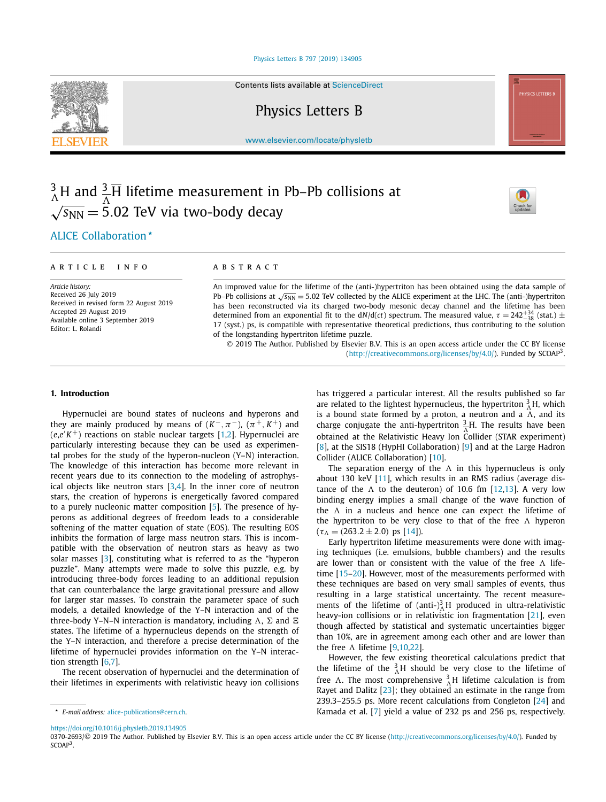# [Physics Letters B 797 \(2019\) 134905](https://doi.org/10.1016/j.physletb.2019.134905)

Contents lists available at [ScienceDirect](http://www.ScienceDirect.com/)

Physics Letters B

[www.elsevier.com/locate/physletb](http://www.elsevier.com/locate/physletb)

# 3  $^{3}_{\Lambda}$ H and  $^{3}_{\Lambda}$ H lifetime measurement in Pb–Pb collisions at  $\sqrt{s_{NN}}$  = 5.02 TeV via two-body decay



# .ALICE [Collaboration](#page-6-0)

# A R T I C L E I N F O A B S T R A C T

*Article history:* Received 26 July 2019 Received in revised form 22 August 2019 Accepted 29 August 2019 Available online 3 September 2019 Editor: L. Rolandi

An improved value for the lifetime of the (anti-)hypertriton has been obtained using the data sample of Pb–Pb collisions at √*s*<sub>NN</sub> = 5.02 TeV collected by the ALICE experiment at the LHC. The (anti-)hypertriton has been reconstructed via its charged two-body mesonic decay channel and the lifetime has been determined from an exponential fit to the  $dN/d(ct)$  spectrum. The measured value,  $\tau = 242^{+34}_{-38}$  (stat.) ± 17 (syst.) ps, is compatible with representative theoretical predictions, thus contributing to the solution of the longstanding hypertriton lifetime puzzle.

© 2019 The Author. Published by Elsevier B.V. This is an open access article under the CC BY license [\(http://creativecommons.org/licenses/by/4.0/\)](http://creativecommons.org/licenses/by/4.0/). Funded by  $SCOAP<sup>3</sup>$ .

# **1. Introduction**

Hypernuclei are bound states of nucleons and hyperons and they are mainly produced by means of  $(K^-, \pi^-)$ ,  $(\pi^+, K^+)$  and (*e*,*e K* +) reactions on stable nuclear targets [\[1,2\]](#page-6-0). Hypernuclei are particularly interesting because they can be used as experimental probes for the study of the hyperon-nucleon (Y–N) interaction. The knowledge of this interaction has become more relevant in recent years due to its connection to the modeling of astrophysical objects like neutron stars  $[3,4]$ . In the inner core of neutron stars, the creation of hyperons is energetically favored compared to a purely nucleonic matter composition [\[5\]](#page-6-0). The presence of hyperons as additional degrees of freedom leads to a considerable softening of the matter equation of state (EOS). The resulting EOS inhibits the formation of large mass neutron stars. This is incompatible with the observation of neutron stars as heavy as two solar masses [\[3\]](#page-6-0), constituting what is referred to as the "hyperon puzzle". Many attempts were made to solve this puzzle, e.g. by introducing three-body forces leading to an additional repulsion that can counterbalance the large gravitational pressure and allow for larger star masses. To constrain the parameter space of such models, a detailed knowledge of the Y–N interaction and of the three-body Y–N–N interaction is mandatory, including  $\Lambda$ ,  $\Sigma$  and  $\Xi$ states. The lifetime of a hypernucleus depends on the strength of the Y–N interaction, and therefore a precise determination of the lifetime of hypernuclei provides information on the Y–N interaction strength [\[6,7\]](#page-6-0).

The recent observation of hypernuclei and the determination of their lifetimes in experiments with relativistic heavy ion collisions has triggered a particular interest. All the results published so far are related to the lightest hypernucleus, the hypertriton  ${}^{3}_{\Lambda}$ H, which is a bound state formed by a proton, a neutron and a  $\Lambda$ , and its charge conjugate the anti-hypertriton  $\frac{3}{\Lambda}$ . The results have been obtained at the Relativistic Heavy Ion Collider (STAR experiment) [\[8\]](#page-6-0), at the SIS18 (HypHI Collaboration) [\[9\]](#page-6-0) and at the Large Hadron Collider (ALICE Collaboration) [\[10\]](#page-6-0).

The separation energy of the  $\Lambda$  in this hypernucleus is only about 130 keV [\[11\]](#page-6-0), which results in an RMS radius (average distance of the  $\Lambda$  to the deuteron) of 10.6 fm  $[12,13]$ . A very low binding energy implies a small change of the wave function of the  $\Lambda$  in a nucleus and hence one can expect the lifetime of the hypertriton to be very close to that of the free  $\Lambda$  hyperon  $(\tau_{\Lambda} = (263.2 \pm 2.0) \text{ ps } [14]).$  $(\tau_{\Lambda} = (263.2 \pm 2.0) \text{ ps } [14]).$  $(\tau_{\Lambda} = (263.2 \pm 2.0) \text{ ps } [14]).$ 

Early hypertriton lifetime measurements were done with imaging techniques (i.e. emulsions, bubble chambers) and the results are lower than or consistent with the value of the free  $\Lambda$  lifetime [\[15–20\]](#page-6-0). However, most of the measurements performed with these techniques are based on very small samples of events, thus resulting in a large statistical uncertainty. The recent measurements of the lifetime of  $(anti-)$ <sup>3</sup><sub> $\Lambda$ </sub>H produced in ultra-relativistic heavy-ion collisions or in relativistic ion fragmentation [\[21\]](#page-6-0), even though affected by statistical and systematic uncertainties bigger than 10%, are in agreement among each other and are lower than the free  $\Lambda$  lifetime [\[9,10,22\]](#page-6-0).

However, the few existing theoretical calculations predict that the lifetime of the  ${}^{3}_{\Lambda}$ H should be very close to the lifetime of free  $\Lambda$ . The most comprehensive  ${}_{\Lambda}^{3}$ H lifetime calculation is from Rayet and Dalitz [\[23\]](#page-6-0); they obtained an estimate in the range from 239.3–255.5 ps. More recent calculations from Congleton [\[24\]](#page-6-0) and Kamada et al. [\[7\]](#page-6-0) yield a value of 232 ps and 256 ps, respectively.

0370-2693/© 2019 The Author. Published by Elsevier B.V. This is an open access article under the CC BY license [\(http://creativecommons.org/licenses/by/4.0/](http://creativecommons.org/licenses/by/4.0/)). Funded by SCOAP<sup>3</sup>.



*E-mail address:* [alice-publications@cern.ch.](mailto:alice-publications@cern.ch)

<https://doi.org/10.1016/j.physletb.2019.134905>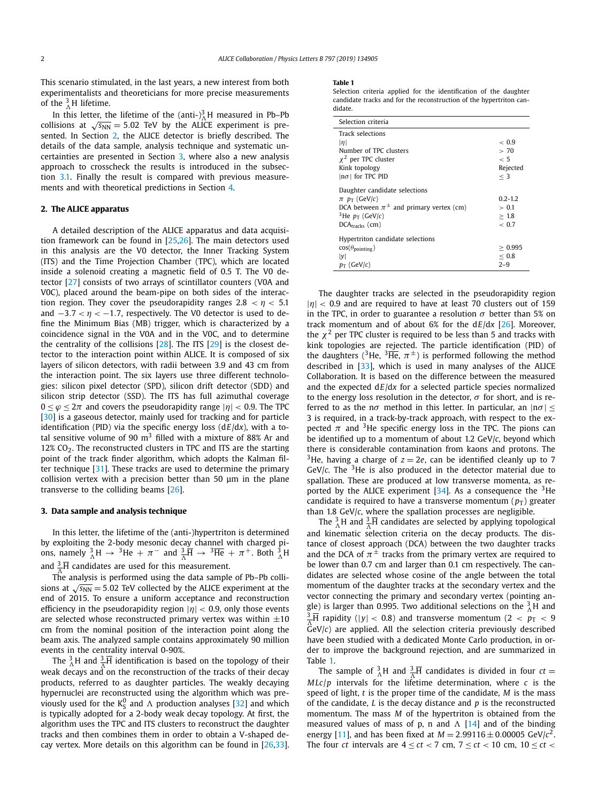<span id="page-1-0"></span>This scenario stimulated, in the last years, a new interest from both experimentalists and theoreticians for more precise measurements of the  ${}^{3}_{\Lambda}$ H lifetime.

In this letter, the lifetime of the  $(anti-)$ <sup>3</sup> $\Lambda$ H measured in Pb–Pb collisions at  $\sqrt{s_{NN}}$  = 5.02 TeV by the ALICE experiment is presented. In Section 2, the ALICE detector is briefly described. The details of the data sample, analysis technique and systematic uncertainties are presented in Section 3, where also a new analysis approach to crosscheck the results is introduced in the subsection [3.1.](#page-3-0) Finally the result is compared with previous measurements and with theoretical predictions in Section [4.](#page-4-0)

# **2. The ALICE apparatus**

A detailed description of the ALICE apparatus and data acquisition framework can be found in [\[25,26\]](#page-6-0). The main detectors used in this analysis are the V0 detector, the Inner Tracking System (ITS) and the Time Projection Chamber (TPC), which are located inside a solenoid creating a magnetic field of 0.5 T. The V0 detector [\[27\]](#page-6-0) consists of two arrays of scintillator counters (V0A and V0C), placed around the beam-pipe on both sides of the interaction region. They cover the pseudorapidity ranges  $2.8 < \eta < 5.1$ and −3*.*<sup>7</sup> *< η <* −1*.*7, respectively. The V0 detector is used to define the Minimum Bias (MB) trigger, which is characterized by a coincidence signal in the V0A and in the V0C, and to determine the centrality of the collisions [\[28\]](#page-6-0). The ITS [\[29\]](#page-6-0) is the closest detector to the interaction point within ALICE. It is composed of six layers of silicon detectors, with radii between 3.9 and 43 cm from the interaction point. The six layers use three different technologies: silicon pixel detector (SPD), silicon drift detector (SDD) and silicon strip detector (SSD). The ITS has full azimuthal coverage  $0 < \varphi < 2\pi$  and covers the pseudorapidity range  $|\eta| < 0.9$ . The TPC [\[30\]](#page-6-0) is a gaseous detector, mainly used for tracking and for particle identification (PID) via the specific energy loss (d*E*/d*x*), with a total sensitive volume of 90  $m<sup>3</sup>$  filled with a mixture of 88% Ar and  $12\%$  CO<sub>2</sub>. The reconstructed clusters in TPC and ITS are the starting point of the track finder algorithm, which adopts the Kalman filter technique [\[31\]](#page-6-0). These tracks are used to determine the primary collision vertex with a precision better than 50 μm in the plane transverse to the colliding beams [\[26\]](#page-6-0).

# **3. Data sample and analysis technique**

In this letter, the lifetime of the (anti-)hypertriton is determined by exploiting the 2-body mesonic decay channel with charged pions, namely  ${}_{\Lambda}^{3}H \rightarrow {}^{3}He + \pi^-$  and  ${}_{\Lambda}^{3}\overline{H} \rightarrow {}^{3}\overline{He} + \pi^+$ . Both  ${}_{\Lambda}^{3}H$ and  $\frac{3}{4}$ H candidates are used for this measurement.

*-*The analysis is performed using the data sample of Pb–Pb collisions at  $\sqrt{s_{NN}}$  = 5.02 TeV collected by the ALICE experiment at the end of 2015. To ensure a uniform acceptance and reconstruction efficiency in the pseudorapidity region |*η*| *<* 0.9, only those events are selected whose reconstructed primary vertex was within  $\pm 10$ cm from the nominal position of the interaction point along the beam axis. The analyzed sample contains approximately 90 million events in the centrality interval 0-90%.

The  ${}^3_\Lambda$ H and  ${}^3_\Lambda$ H identification is based on the topology of their weak decays and on the reconstruction of the tracks of their decay products, referred to as daughter particles. The weakly decaying hypernuclei are reconstructed using the algorithm which was previously used for the  $K_S^0$  and  $\Lambda$  production analyses [\[32\]](#page-6-0) and which is typically adopted for a 2-body weak decay topology. At first, the algorithm uses the TPC and ITS clusters to reconstruct the daughter tracks and then combines them in order to obtain a V-shaped decay vertex. More details on this algorithm can be found in [\[26,33\]](#page-6-0).

#### **Table 1**

Selection criteria applied for the identification of the daughter candidate tracks and for the reconstruction of the hypertriton candidate.

| Selection criteria                                                                                                                                           |                                             |
|--------------------------------------------------------------------------------------------------------------------------------------------------------------|---------------------------------------------|
| Track selections<br> n <br>Number of TPC clusters<br>$\chi^2$ per TPC cluster<br>Kink topology<br>$ n\sigma $ for TPC PID                                    | ~< 0.9<br>> 70<br>~< 5<br>Rejected<br>$<$ 3 |
| Daughter candidate selections<br>$\pi$ $p_T$ (GeV/c)<br>DCA between $\pi^{\pm}$ and primary vertex (cm)<br><sup>3</sup> He $p_T$ (GeV/c)<br>$DCAtracks$ (cm) | $0.2 - 1.2$<br>> 0.1<br>>1.8<br>~< 0.7      |
| Hypertriton candidate selections<br>$cos(\theta_{pointing})$<br> v <br>$p_T$ (GeV/c)                                                                         | > 0.995<br>< 0.8<br>$2 - 9$                 |

The daughter tracks are selected in the pseudorapidity region |*η*| *<* 0.9 and are required to have at least <sup>70</sup> clusters out of <sup>159</sup> in the TPC, in order to guarantee a resolution  $\sigma$  better than 5% on track momentum and of about 6% for the d*E*/d*x* [\[26\]](#page-6-0). Moreover, the  $\chi^2$  per TPC cluster is required to be less than 5 and tracks with kink topologies are rejected. The particle identification (PID) of the daughters (<sup>3</sup>He,  $^{3}\overline{He}$ ,  $\pi^{\pm}$ ) is performed following the method described in  $[33]$ , which is used in many analyses of the ALICE Collaboration. It is based on the difference between the measured and the expected d*E*/d*x* for a selected particle species normalized to the energy loss resolution in the detector,  $\sigma$  for short, and is referred to as the n $\sigma$  method in this letter. In particular, an  $|n\sigma| \leq$ 3 is required, in a track-by-track approach, with respect to the expected  $\pi$  and <sup>3</sup>He specific energy loss in the TPC. The pions can be identified up to a momentum of about 1.2 GeV/*c*, beyond which there is considerable contamination from kaons and protons. The <sup>3</sup>He, having a charge of  $z = 2e$ , can be identified cleanly up to 7 GeV/ $c$ . The <sup>3</sup>He is also produced in the detector material due to spallation. These are produced at low transverse momenta, as reported by the ALICE experiment  $[34]$ . As a consequence the <sup>3</sup>He candidate is required to have a transverse momentum  $(p_T)$  greater than 1.8 GeV/*c*, where the spallation processes are negligible.

The  ${}^3_\Lambda$ H and  ${}^3_\Lambda$ H candidates are selected by applying topological and kinematic selection criteria on the decay products. The distance of closest approach (DCA) between the two daughter tracks and the DCA of  $\pi^{\pm}$  tracks from the primary vertex are required to be lower than 0.7 cm and larger than 0.1 cm respectively. The candidates are selected whose cosine of the angle between the total momentum of the daughter tracks at the secondary vertex and the vector connecting the primary and secondary vertex (pointing angle) is larger than 0.995. Two additional selections on the  $^{3}_{\Lambda}$ H and  $\frac{3}{\Lambda}$ H rapidity (|y| < 0.8) and transverse momentum (2 <  $p_{\rm T}$  < 9 *-*GeV/*c*) are applied. All the selection criteria previously described have been studied with a dedicated Monte Carlo production, in order to improve the background rejection, and are summarized in Table 1.

The sample of  ${}_{\Lambda}^{3}$ H and  ${}_{\Lambda}^{3}$ H candidates is divided in four *ct* =  $MLc/p$  intervals for the lifetime determination, where *c* is the speed of light, *t* is the proper time of the candidate, *M* is the mass of the candidate, *L* is the decay distance and *p* is the reconstructed momentum. The mass *M* of the hypertriton is obtained from the measured values of mass of p, n and  $\Lambda$  [\[14\]](#page-6-0) and of the binding energy [\[11\]](#page-6-0), and has been fixed at  $M = 2.99116 \pm 0.00005$  GeV/ $c^2$ . The four *ct* intervals are  $4 \le ct < 7$  cm,  $7 \le ct < 10$  cm,  $10 \le ct <$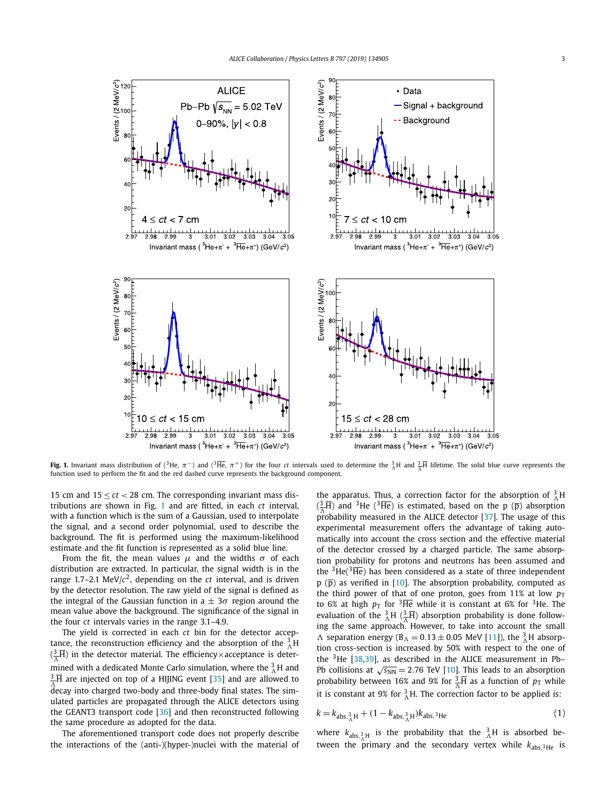

**Fig. 1.** Invariant mass distribution of (<sup>3</sup>He,  $\pi$ ) and (<sup>3</sup>He,  $\pi$ <sup>+</sup>) for the four *ct* intervals used to determine the  ${}_{\Lambda}^{3}H$  and  ${}_{\Lambda}^{3}\overline{H}$  lifetime. The solid blue curve represents the function used to perform the fit and the red dashed curve represents the background component.

15 cm and 15 ≤ *ct <* 28 cm. The corresponding invariant mass distributions are shown in Fig. 1 and are fitted, in each *ct* interval, with a function which is the sum of a Gaussian, used to interpolate the signal, and a second order polynomial, used to describe the background. The fit is performed using the maximum-likelihood estimate and the fit function is represented as a solid blue line.

From the fit, the mean values  $\mu$  and the widths  $\sigma$  of each distribution are extracted. In particular, the signal width is in the range 1.7–2.1 MeV/ $c^2$ , depending on the *ct* interval, and is driven by the detector resolution. The raw yield of the signal is defined as the integral of the Gaussian function in a  $\pm$  3 $\sigma$  region around the mean value above the background. The significance of the signal in the four *ct* intervals varies in the range 3.1–4.9.

The yield is corrected in each *ct* bin for the detector acceptance, the reconstruction efficiency and the absorption of the  $^{3}_{\Lambda}$ H  $(\frac{3}{\Lambda}\overline{H})$  in the detector material. The efficiency×acceptance is determined with a dedicated Monte Carlo simulation, where the  $^{3}_{\Lambda}$ H and  $\frac{3}{\Lambda}$ H are injected on top of a HIJING event [\[35\]](#page-6-0) and are allowed to decay into charged two-body and three-body final states. The simulated particles are propagated through the ALICE detectors using the GEANT3 transport code [\[36\]](#page-6-0) and then reconstructed following the same procedure as adopted for the data.

The aforementioned transport code does not properly describe the interactions of the (anti-)(hyper-)nuclei with the material of

the apparatus. Thus, a correction factor for the absorption of  $^{3}_{\Lambda}$ H  $(\frac{3}{4}\overline{H})$  and <sup>3</sup>He (<sup>3</sup>He) is estimated, based on the p ( $\overline{p}$ ) absorption *-*probability measured in the ALICE detector [\[37\]](#page-6-0). The usage of this experimental measurement offers the advantage of taking automatically into account the cross section and the effective material of the detector crossed by a charged particle. The same absorption probability for protons and neutrons has been assumed and the  ${}^{3}$ He( ${}^{3}$ He) has been considered as a state of three independent  $p$  ( $\overline{p}$ ) as verified in [\[10\]](#page-6-0). The absorption probability, computed as the third power of that of one proton, goes from 11% at low  $p_T$ to 6% at high  $p_T$  for <sup>3</sup>He while it is constant at 6% for <sup>3</sup>He. The evaluation of the  ${}^{3}_{\Lambda}$ H  $({}^{3}_{\Lambda}\overline{H})$  absorption probability is done following the same approach. However, to take into account the small  $\Lambda$  separation energy ( $B_{\Lambda} = 0.13 \pm 0.05$  MeV [\[11\]](#page-6-0)), the  $^{3}_{\Lambda}$ H absorption cross-section is increased by 50% with respect to the one of the  $3$ He [\[38,39\]](#page-6-0), as described in the ALICE measurement in Pb– Pb collisions at  $\sqrt{s_{NN}}$  = 2.76 TeV [\[10\]](#page-6-0). This leads to an absorption probability between 16% and 9% for  $\frac{3}{\Lambda}$  as a function of  $p_T$  while it is constant at 9% for  ${}^{3}_{\Lambda}$ H. The correction factor to be applied is:

$$
k = k_{\text{abs},\frac{3}{\Lambda}H} + (1 - k_{\text{abs},\frac{3}{\Lambda}H})k_{\text{abs},\frac{3}{\Lambda}He}
$$
 (1)

where  $k_{\text{abs},\frac{3}{2}H}$  is the probability that the  $\frac{3}{\Lambda}H$  is absorbed between the primary and the secondary vertex while  $k_{\text{abs},3\text{He}}$  is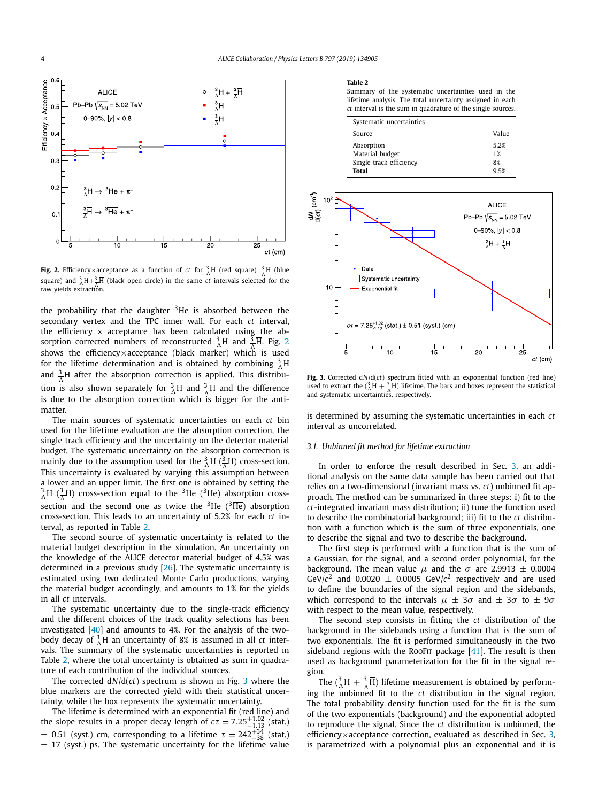<span id="page-3-0"></span>

**Fig. 2.** Efficiency×acceptance as a function of  $ct$  for  $^{3}_{\Lambda}$ H (red square),  $^{3}_{\Lambda}\overline{H}$  (blue  $\sum_{i=1}^{\infty}$  and  $\sum_{i=1}^{\infty}$  H+3 $\frac{1}{2}$ H (black open circle) in the same *ct* intervals selected for the *-*raw yields extraction.

the probability that the daughter  $3$ He is absorbed between the secondary vertex and the TPC inner wall. For each *ct* interval, the efficiency x acceptance has been calculated using the absorption corrected numbers of reconstructed  $^{3}_{\Lambda}$ H and  $^{3}_{\Lambda}$ H. Fig. 2 shows the efficiency×acceptance (black marker) which is used for the lifetime determination and is obtained by combining  $^{3}_{\Lambda}$ H and  $\frac{3}{\Lambda}$ **H** after the absorption correction is applied. This distribution is also shown separately for  ${}_{\Lambda}^{3}$ H and  ${}_{\Lambda}^{3}$ H and the difference is due to the absorption correction which is bigger for the antimatter.

The main sources of systematic uncertainties on each *ct* bin used for the lifetime evaluation are the absorption correction, the single track efficiency and the uncertainty on the detector material budget. The systematic uncertainty on the absorption correction is mainly due to the assumption used for the  $^{3}_{\Lambda}$ H ( $^{3}_{\overline{\Lambda}}$ H) cross-section. This uncertainty is evaluated by varying this assumption between a lower and an upper limit. The first one is obtained by setting the  $^{3}_{\Lambda}$ H ( $^{3}_{\overline{\Lambda}}$ H) cross-section equal to the <sup>3</sup>He (<sup>3</sup>He) absorption crosssection and the second one as twice the  $3$ He ( $3\overline{He}$ ) absorption cross-section. This leads to an uncertainty of 5.2% for each *ct* interval, as reported in Table 2.

The second source of systematic uncertainty is related to the material budget description in the simulation. An uncertainty on the knowledge of the ALICE detector material budget of 4.5% was determined in a previous study [\[26\]](#page-6-0). The systematic uncertainty is estimated using two dedicated Monte Carlo productions, varying the material budget accordingly, and amounts to 1% for the yields in all *ct* intervals.

The systematic uncertainty due to the single-track efficiency and the different choices of the track quality selections has been investigated [\[40\]](#page-6-0) and amounts to 4%. For the analysis of the twobody decay of  ${}^{3}_{\Lambda}$ H an uncertainty of 8% is assumed in all *ct* intervals. The summary of the systematic uncertainties is reported in Table 2, where the total uncertainty is obtained as sum in quadrature of each contribution of the individual sources.

The corrected d*N*/d(*ct*) spectrum is shown in Fig. 3 where the blue markers are the corrected yield with their statistical uncertainty, while the box represents the systematic uncertainty.

The lifetime is determined with an exponential fit (red line) and the slope results in a proper decay length of  $c\tau = 7.25^{+1.02}_{-1.13}$  (stat.)  $\pm$  0.51 (syst.) cm, corresponding to a lifetime  $\tau = 242^{+34}_{-38}$  (stat.)  $\pm$  17 (syst.) ps. The systematic uncertainty for the lifetime value

### **Table 2**

Summary of the systematic uncertainties used in the lifetime analysis. The total uncertainty assigned in each *ct* interval is the sum in quadrature of the single sources.

| Systematic uncertainties |       |
|--------------------------|-------|
| Source                   | Value |
| Absorption               | 5.2%  |
| Material budget          | 1%    |
| Single track efficiency  | 8%    |
| <b>Total</b>             | 95%   |
|                          |       |



**Fig. 3.** Corrected d*N*/d(*ct*) spectrum fitted with an exponential function (red line) used to extract the  $({}^3_\Lambda H + \frac{3}{\Lambda}\overline{H})$  lifetime. The bars and boxes represent the statistical and systematic uncertainties, respectively.

is determined by assuming the systematic uncertainties in each *ct* interval as uncorrelated.

# *3.1. Unbinned fit method for lifetime extraction*

In order to enforce the result described in Sec. [3,](#page-1-0) an additional analysis on the same data sample has been carried out that relies on a two-dimensional (invariant mass vs. *ct*) unbinned fit approach. The method can be summarized in three steps: i) fit to the *ct*-integrated invariant mass distribution; ii) tune the function used to describe the combinatorial background; iii) fit to the *ct* distribution with a function which is the sum of three exponentials, one to describe the signal and two to describe the background.

The first step is performed with a function that is the sum of a Gaussian, for the signal, and a second order polynomial, for the background. The mean value  $\mu$  and the  $\sigma$  are 2.9913  $\pm$  0.0004 GeV/ $c^2$  and 0.0020  $\pm$  0.0005 GeV/ $c^2$  respectively and are used to define the boundaries of the signal region and the sidebands, which correspond to the intervals  $\mu \pm 3\sigma$  and  $\pm 3\sigma$  to  $\pm 9\sigma$ with respect to the mean value, respectively.

The second step consists in fitting the *ct* distribution of the background in the sidebands using a function that is the sum of two exponentials. The fit is performed simultaneously in the two sideband regions with the ROOFIT package  $[41]$ . The result is then used as background parameterization for the fit in the signal region.

The  $({}^{3}_{\Lambda}H + \frac{3}{\Lambda}H)$  lifetime measurement is obtained by performing the unbinned fit to the *ct* distribution in the signal region. The total probability density function used for the fit is the sum of the two exponentials (background) and the exponential adopted to reproduce the signal. Since the *ct* distribution is unbinned, the efficiency $\times$  acceptance correction, evaluated as described in Sec. [3,](#page-1-0) is parametrized with a polynomial plus an exponential and it is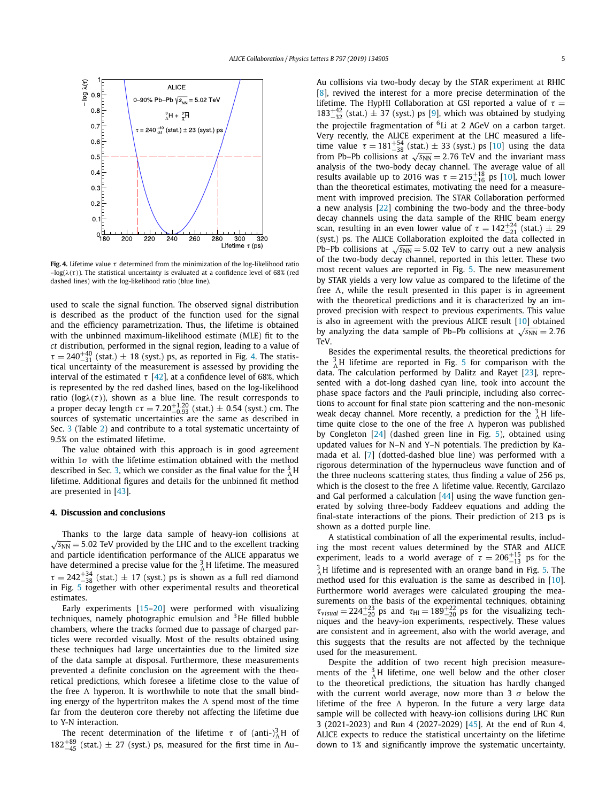<span id="page-4-0"></span>

**Fig. 4.** Lifetime value *τ* determined from the minimization of the log-likelihood ratio  $-\log(\lambda(\tau))$ . The statistical uncertainty is evaluated at a confidence level of 68% (red dashed lines) with the log-likelihood ratio (blue line).

used to scale the signal function. The observed signal distribution is described as the product of the function used for the signal and the efficiency parametrization. Thus, the lifetime is obtained with the unbinned maximum-likelihood estimate (MLE) fit to the *ct* distribution, performed in the signal region, leading to a value of  $\tau = 240^{+40}_{-31}$  (stat.)  $\pm$  18 (syst.) ps, as reported in Fig. 4. The statistical uncertainty of the measurement is assessed by providing the interval of the estimated  $\tau$  [\[42\]](#page-6-0), at a confidence level of 68%, which is represented by the red dashed lines, based on the log-likelihood ratio ( $log $\lambda(\tau)$$ a proper decay length  $c\tau = 7.20_{-1.93}^{+1.20}$  (stat.)  $\pm$  0.54 (syst.) cm. The sources of systematic uncertainties are the same as described in Sec. [3](#page-1-0) (Table [2\)](#page-3-0) and contribute to a total systematic uncertainty of 9.5% on the estimated lifetime.

The value obtained with this approach is in good agreement within 1*σ* with the lifetime estimation obtained with the method described in Sec. [3,](#page-1-0) which we consider as the final value for the  $^{3}_{A}$ H lifetime. Additional figures and details for the unbinned fit method are presented in [\[43\]](#page-6-0).

# **4. Discussion and conclusions**

Thanks to the large data sample of heavy-ion collisions at  $\sqrt{s_{NN}}$  = 5.02 TeV provided by the LHC and to the excellent tracking and particle identification performance of the ALICE apparatus we have determined a precise value for the  $^{3}_{\Lambda}$ H lifetime. The measured  $\tau = 242^{+34}_{-38}$  (stat.)  $\pm$  17 (syst.) ps is shown as a full red diamond in Fig. [5](#page-5-0) together with other experimental results and theoretical estimates.

Early experiments [\[15–20\]](#page-6-0) were performed with visualizing techniques, namely photographic emulsion and  $3$ He filled bubble chambers, where the tracks formed due to passage of charged particles were recorded visually. Most of the results obtained using these techniques had large uncertainties due to the limited size of the data sample at disposal. Furthermore, these measurements prevented a definite conclusion on the agreement with the theoretical predictions, which foresee a lifetime close to the value of the free  $\Lambda$  hyperon. It is worthwhile to note that the small binding energy of the hypertriton makes the  $\Lambda$  spend most of the time far from the deuteron core thereby not affecting the lifetime due to Y-N interaction.

The recent determination of the lifetime  $\tau$  of (anti-)<sup>3</sup><sub> $\Lambda$ </sub>H of  $182^{+89}_{-45}$  (stat.)  $\pm$  27 (syst.) ps, measured for the first time in Au– Au collisions via two-body decay by the STAR experiment at RHIC [\[8\]](#page-6-0), revived the interest for a more precise determination of the lifetime. The HypHI Collaboration at GSI reported a value of  $τ =$  $183^{+42}_{-32}$  (stat.)  $\pm$  37 (syst.) ps [\[9\]](#page-6-0), which was obtained by studying the projectile fragmentation of  $6Li$  at 2 AGeV on a carbon target. Very recently, the ALICE experiment at the LHC measured a lifetime value  $\tau = 181^{+54}_{-38}$  (stat.)  $\pm$  33 (syst.) ps [\[10\]](#page-6-0) using the data from Pb–Pb collisions at  $\sqrt{s_{NN}}$  = 2.76 TeV and the invariant mass analysis of the two-body decay channel. The average value of all results available up to 2016 was  $\tau = 215^{+18}_{-16}$  ps [\[10\]](#page-6-0), much lower than the theoretical estimates, motivating the need for a measurement with improved precision. The STAR Collaboration performed a new analysis [\[22\]](#page-6-0) combining the two-body and the three-body decay channels using the data sample of the RHIC beam energy scan, resulting in an even lower value of  $\tau = 142^{+24}_{-21}$  (stat.) ± 29 (syst.) ps. The ALICE Collaboration exploited the data collected in Pb–Pb collisions at  $\sqrt{s_{NN}}$  = 5.02 TeV to carry out a new analysis of the two-body decay channel, reported in this letter. These two most recent values are reported in Fig. [5.](#page-5-0) The new measurement by STAR yields a very low value as compared to the lifetime of the free  $\Lambda$ , while the result presented in this paper is in agreement with the theoretical predictions and it is characterized by an improved precision with respect to previous experiments. This value is also in agreement with the previous ALICE result [\[10\]](#page-6-0) obtained by analyzing the data sample of Pb–Pb collisions at  $\sqrt{s_{NN}} = 2.76$ TeV.

Besides the experimental results, the theoretical predictions for the  ${}_{\Lambda}^{3}$ H lifetime are reported in Fig. [5](#page-5-0) for comparison with the data. The calculation performed by Dalitz and Rayet [\[23\]](#page-6-0), represented with a dot-long dashed cyan line, took into account the phase space factors and the Pauli principle, including also corrections to account for final state pion scattering and the non-mesonic weak decay channel. More recently, a prediction for the  $^{3}_{\Lambda}$ H lifetime quite close to the one of the free  $\Lambda$  hyperon was published by Congleton [\[24\]](#page-6-0) (dashed green line in Fig. [5\)](#page-5-0), obtained using updated values for N–N and Y–N potentials. The prediction by Kamada et al. [\[7\]](#page-6-0) (dotted-dashed blue line) was performed with a rigorous determination of the hypernucleus wave function and of the three nucleons scattering states, thus finding a value of 256 ps, which is the closest to the free  $\Lambda$  lifetime value. Recently, Garcilazo and Gal performed a calculation [\[44\]](#page-6-0) using the wave function generated by solving three-body Faddeev equations and adding the final-state interactions of the pions. Their prediction of 213 ps is shown as a dotted purple line.

A statistical combination of all the experimental results, including the most recent values determined by the STAR and ALICE experiment, leads to a world average of  $\tau = 206^{+15}_{-13}$  ps for the  $^3_\Lambda$ H lifetime and is represented with an orange band in Fig. [5.](#page-5-0) The method used for this evaluation is the same as described in [\[10\]](#page-6-0). Furthermore world averages were calculated grouping the measurements on the basis of the experimental techniques, obtaining  $\tau_{visual} = 224_{-20}^{+23}$  ps and  $\tau_{HI} = 189_{-20}^{+22}$  ps for the visualizing techniques and the heavy-ion experiments, respectively. These values are consistent and in agreement, also with the world average, and this suggests that the results are not affected by the technique used for the measurement.

Despite the addition of two recent high precision measurements of the  ${}_{\Lambda}^{3}$ H lifetime, one well below and the other closer to the theoretical predictions, the situation has hardly changed with the current world average, now more than 3 *σ* below the lifetime of the free A hyperon. In the future a very large data sample will be collected with heavy-ion collisions during LHC Run 3 (2021-2023) and Run 4 (2027-2029) [\[45\]](#page-6-0). At the end of Run 4, ALICE expects to reduce the statistical uncertainty on the lifetime down to 1% and significantly improve the systematic uncertainty,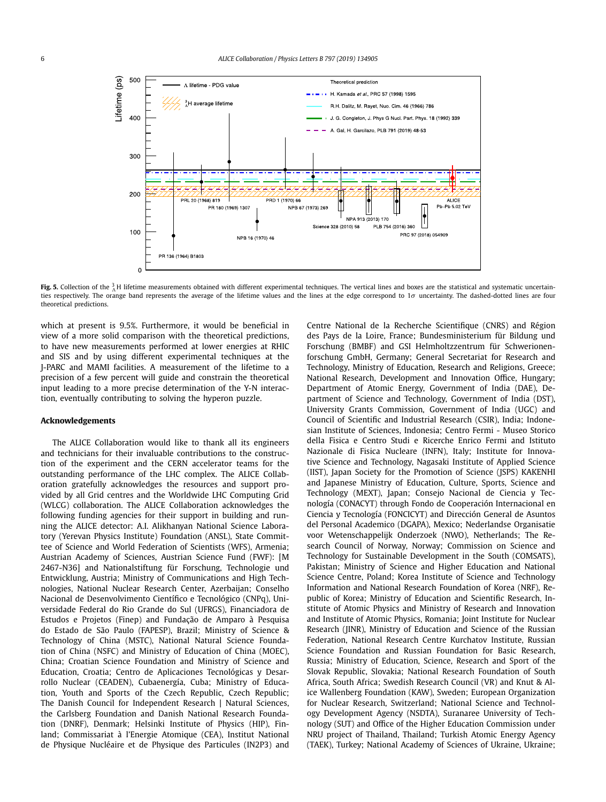<span id="page-5-0"></span>

**Fig. 5.** Collection of the  $^3_\Lambda$ H lifetime measurements obtained with different experimental techniques. The vertical lines and boxes are the statistical and systematic uncertainties respectively. The orange band represents the average of the lifetime values and the lines at the edge correspond to 1σ uncertainty. The dashed-dotted lines are four theoretical predictions.

which at present is 9.5%. Furthermore, it would be beneficial in view of a more solid comparison with the theoretical predictions, to have new measurements performed at lower energies at RHIC and SIS and by using different experimental techniques at the J-PARC and MAMI facilities. A measurement of the lifetime to a precision of a few percent will guide and constrain the theoretical input leading to a more precise determination of the Y-N interaction, eventually contributing to solving the hyperon puzzle.

# **Acknowledgements**

The ALICE Collaboration would like to thank all its engineers and technicians for their invaluable contributions to the construction of the experiment and the CERN accelerator teams for the outstanding performance of the LHC complex. The ALICE Collaboration gratefully acknowledges the resources and support provided by all Grid centres and the Worldwide LHC Computing Grid (WLCG) collaboration. The ALICE Collaboration acknowledges the following funding agencies for their support in building and running the ALICE detector: A.I. Alikhanyan National Science Laboratory (Yerevan Physics Institute) Foundation (ANSL), State Committee of Science and World Federation of Scientists (WFS), Armenia; Austrian Academy of Sciences, Austrian Science Fund (FWF): [M 2467-N36] and Nationalstiftung für Forschung, Technologie und Entwicklung, Austria; Ministry of Communications and High Technologies, National Nuclear Research Center, Azerbaijan; Conselho Nacional de Desenvolvimento Científico e Tecnológico (CNPq), Universidade Federal do Rio Grande do Sul (UFRGS), Financiadora de Estudos e Projetos (Finep) and Fundação de Amparo à Pesquisa do Estado de São Paulo (FAPESP), Brazil; Ministry of Science & Technology of China (MSTC), National Natural Science Foundation of China (NSFC) and Ministry of Education of China (MOEC), China; Croatian Science Foundation and Ministry of Science and Education, Croatia; Centro de Aplicaciones Tecnológicas y Desarrollo Nuclear (CEADEN), Cubaenergía, Cuba; Ministry of Education, Youth and Sports of the Czech Republic, Czech Republic; The Danish Council for Independent Research | Natural Sciences, the Carlsberg Foundation and Danish National Research Foundation (DNRF), Denmark; Helsinki Institute of Physics (HIP), Finland; Commissariat à l'Energie Atomique (CEA), Institut National de Physique Nucléaire et de Physique des Particules (IN2P3) and Centre National de la Recherche Scientifique (CNRS) and Région des Pays de la Loire, France; Bundesministerium für Bildung und Forschung (BMBF) and GSI Helmholtzzentrum für Schwerionenforschung GmbH, Germany; General Secretariat for Research and Technology, Ministry of Education, Research and Religions, Greece; National Research, Development and Innovation Office, Hungary; Department of Atomic Energy, Government of India (DAE), Department of Science and Technology, Government of India (DST), University Grants Commission, Government of India (UGC) and Council of Scientific and Industrial Research (CSIR), India; Indonesian Institute of Sciences, Indonesia; Centro Fermi - Museo Storico della Fisica e Centro Studi e Ricerche Enrico Fermi and Istituto Nazionale di Fisica Nucleare (INFN), Italy; Institute for Innovative Science and Technology, Nagasaki Institute of Applied Science (IIST), Japan Society for the Promotion of Science (JSPS) KAKENHI and Japanese Ministry of Education, Culture, Sports, Science and Technology (MEXT), Japan; Consejo Nacional de Ciencia y Tecnología (CONACYT) through Fondo de Cooperación Internacional en Ciencia y Tecnología (FONCICYT) and Dirección General de Asuntos del Personal Academico (DGAPA), Mexico; Nederlandse Organisatie voor Wetenschappelijk Onderzoek (NWO), Netherlands; The Research Council of Norway, Norway; Commission on Science and Technology for Sustainable Development in the South (COMSATS), Pakistan; Ministry of Science and Higher Education and National Science Centre, Poland; Korea Institute of Science and Technology Information and National Research Foundation of Korea (NRF), Republic of Korea; Ministry of Education and Scientific Research, Institute of Atomic Physics and Ministry of Research and Innovation and Institute of Atomic Physics, Romania; Joint Institute for Nuclear Research (JINR), Ministry of Education and Science of the Russian Federation, National Research Centre Kurchatov Institute, Russian Science Foundation and Russian Foundation for Basic Research, Russia; Ministry of Education, Science, Research and Sport of the Slovak Republic, Slovakia; National Research Foundation of South Africa, South Africa; Swedish Research Council (VR) and Knut & Alice Wallenberg Foundation (KAW), Sweden; European Organization for Nuclear Research, Switzerland; National Science and Technology Development Agency (NSDTA), Suranaree University of Technology (SUT) and Office of the Higher Education Commission under NRU project of Thailand, Thailand; Turkish Atomic Energy Agency (TAEK), Turkey; National Academy of Sciences of Ukraine, Ukraine;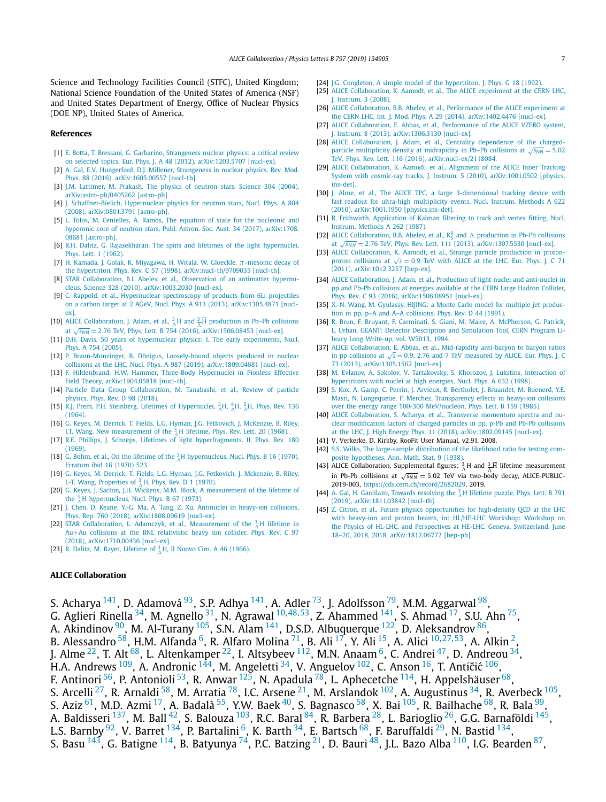<span id="page-6-0"></span>Science and Technology Facilities Council (STFC), United Kingdom; National Science Foundation of the United States of America (NSF) and United States Department of Energy, Office of Nuclear Physics (DOE NP), United States of America.

## **References**

- [1] E. Botta, T. Bressani, G. Garbarino, [Strangeness](http://refhub.elsevier.com/S0370-2693(19)30627-6/bib426F74746132303132s1) nuclear physics: a critical review on selected topics, Eur. Phys. J. A 48 (2012), [arXiv:1203.5707 \[nucl-ex\].](http://refhub.elsevier.com/S0370-2693(19)30627-6/bib426F74746132303132s1)
- [2] A. Gal, E.V. [Hungerford,](http://refhub.elsevier.com/S0370-2693(19)30627-6/bib47616C3A32303136626F69s1) D.J. Millener, Strangeness in nuclear physics, Rev. Mod. Phys. 88 (2016), [arXiv:1605.00557 \[nucl-th\].](http://refhub.elsevier.com/S0370-2693(19)30627-6/bib47616C3A32303136626F69s1)
- [3] J.M. [Lattimer,](http://refhub.elsevier.com/S0370-2693(19)30627-6/bib4C617474696D65723A323030347067s1) M. Prakash, The physics of neutron stars, Science 304 (2004), [arXiv:astro-ph/0405262 \[astro-ph\].](http://refhub.elsevier.com/S0370-2693(19)30627-6/bib4C617474696D65723A323030347067s1)
- [4] J. [Schaffner-Bielich,](http://refhub.elsevier.com/S0370-2693(19)30627-6/bib5363686166666E65724269656C6963683A323030386B62s1) Hypernuclear physics for neutron stars, Nucl. Phys. A 804 (2008), [arXiv:0801.3791 \[astro-ph\].](http://refhub.elsevier.com/S0370-2693(19)30627-6/bib5363686166666E65724269656C6963683A323030386B62s1)
- [5] L. Tolos, M. Centelles, A. Ramos, The equation of state for the [nucleonic](http://refhub.elsevier.com/S0370-2693(19)30627-6/bib746F6C6F735F63656E74656C6C65735F72616D6F735F32303137s1) and hyperonic core of neutron stars, Publ. Astron. Soc. Aust. 34 (2017), [arXiv:1708.](http://refhub.elsevier.com/S0370-2693(19)30627-6/bib746F6C6F735F63656E74656C6C65735F72616D6F735F32303137s1) [08681 \[astro-ph\].](http://refhub.elsevier.com/S0370-2693(19)30627-6/bib746F6C6F735F63656E74656C6C65735F72616D6F735F32303137s1)
- [6] R.H. Dalitz, G. [Rajasekharan,](http://refhub.elsevier.com/S0370-2693(19)30627-6/bib44616C69747A3A313936326562s1) The spins and lifetimes of the light hypernuclei, Phys. Lett. 1 [\(1962\).](http://refhub.elsevier.com/S0370-2693(19)30627-6/bib44616C69747A3A313936326562s1)
- [7] H. Kamada, J. Golak, K. [Miyagawa,](http://refhub.elsevier.com/S0370-2693(19)30627-6/bib4B616D6164613A313939377276s1) H. Witala, W. Gloeckle, *π*-mesonic decay of the hypertriton, Phys. Rev. C 57 (1998), [arXiv:nucl-th/9709035 \[nucl-th\].](http://refhub.elsevier.com/S0370-2693(19)30627-6/bib4B616D6164613A313939377276s1)
- [8] STAR [Collaboration,](http://refhub.elsevier.com/S0370-2693(19)30627-6/bib4162656C65763A323031307276s1) B.I. Abelev, et al., Observation of an antimatter hypernucleus, Science 328 (2010), [arXiv:1003.2030 \[nucl-ex\].](http://refhub.elsevier.com/S0370-2693(19)30627-6/bib4162656C65763A323031307276s1)
- [9] C. Rappold, et al., [Hypernuclear](http://refhub.elsevier.com/S0370-2693(19)30627-6/bib526170706F6C643A32303133666963s1) spectroscopy of products from 6Li projectiles on a carbon target at 2 AGeV, Nucl. Phys. A 913 (2013), [arXiv:1305.4871 \[nucl](http://refhub.elsevier.com/S0370-2693(19)30627-6/bib526170706F6C643A32303133666963s1)[ex\].](http://refhub.elsevier.com/S0370-2693(19)30627-6/bib526170706F6C643A32303133666963s1)
- [10] ALICE [Collaboration,](http://refhub.elsevier.com/S0370-2693(19)30627-6/bib6164616D3A3230313668336Cs1) J. Adam, et al.,  ${}^{3}_{\Lambda}H$  and  ${}^{3}_{\Lambda}\overline{H}$  production in Pb–Pb collisions at  $\sqrt{s_{NN}}$  = 2.76 TeV, Phys. Lett. B 754 (2016), [arXiv:1506.08453 \[nucl-ex\].](http://refhub.elsevier.com/S0370-2693(19)30627-6/bib6164616D3A3230313668336Cs1)
- [11] D.H. Davis, 50 years of [hypernuclear](http://refhub.elsevier.com/S0370-2693(19)30627-6/bib44617669733A323030356D62s1) physics: I. The early experiments, Nucl. Phys. A 754 [\(2005\).](http://refhub.elsevier.com/S0370-2693(19)30627-6/bib44617669733A323030356D62s1)
- [12] P. [Braun-Munzinger,](http://refhub.elsevier.com/S0370-2693(19)30627-6/bib427261756E2D4D756E7A696E6765723A32303138686174s1) B. Dönigus, Loosely-bound objects produced in nuclear collisions at the LHC, Nucl. Phys. A 987 (2019), [arXiv:1809.04681 \[nucl-ex\].](http://refhub.elsevier.com/S0370-2693(19)30627-6/bib427261756E2D4D756E7A696E6765723A32303138686174s1)
- [13] F. [Hildenbrand,](http://refhub.elsevier.com/S0370-2693(19)30627-6/bib48696C64656E6272616E643A32303139736770s1) H.W. Hammer, Three-Body Hypernuclei in Pionless Effective Field Theory, [arXiv:1904.05818 \[nucl-th\].](http://refhub.elsevier.com/S0370-2693(19)30627-6/bib48696C64656E6272616E643A32303139736770s1)
- [14] Particle Data Group [Collaboration,](http://refhub.elsevier.com/S0370-2693(19)30627-6/bib50687973526576442E39382E303330303031s1) M. Tanabashi, et al., Review of particle [physics,](http://refhub.elsevier.com/S0370-2693(19)30627-6/bib50687973526576442E39382E303330303031s1) Phys. Rev. D 98 (2018).
- [15] R.J. Prem, P.H. Steinberg, Lifetimes of [Hypernuclei,](http://refhub.elsevier.com/S0370-2693(19)30627-6/bib506879735265762E3133362E4231383033s1)  ${}^{3}_{\Lambda}H, {}^{4}_{\Lambda}H, {}^{5}_{\Lambda}H$ , Phys. Rev. 136 [\(1964\).](http://refhub.elsevier.com/S0370-2693(19)30627-6/bib506879735265762E3133362E4231383033s1)
- [16] G. Keyes, M. Derrick, T. Fields, L.G. Hyman, J.G. Fetkovich, J. [McKenzie,](http://refhub.elsevier.com/S0370-2693(19)30627-6/bib506879735265764C6574742E32302E383139s1) B. Riley, I.T. Wang, New [measurement](http://refhub.elsevier.com/S0370-2693(19)30627-6/bib506879735265764C6574742E32302E383139s1) of the  $^{3}_{\Lambda}$ H lifetime, Phys. Rev. Lett. 20 (1968).
- [17] R.E. Phillips, J. Schneps, Lifetimes of light [hyperfragments.](http://refhub.elsevier.com/S0370-2693(19)30627-6/bib506879735265762E3138302E31333037s1) II, Phys. Rev. 180 [\(1969\).](http://refhub.elsevier.com/S0370-2693(19)30627-6/bib506879735265762E3138302E31333037s1)
- [18] G. Bohm, et al., On the lifetime of the  ${}^{3}_{\Lambda}$ [H hypernucleus,](http://refhub.elsevier.com/S0370-2693(19)30627-6/bib426F686D3A313937307365s1) Nucl. Phys. B 16 (1970), [Erratum](http://refhub.elsevier.com/S0370-2693(19)30627-6/bib426F686D3A313937307365s1) ibid 16 (1970) 523.
- [19] G. Keyes, M. Derrick, T. Fields, L.G. Hyman, J.G. Fetkovich, J. [Mckenzie,](http://refhub.elsevier.com/S0370-2693(19)30627-6/bib4B657965733A31393730636Bs1) B. Riley, I.-T. Wang, [Properties](http://refhub.elsevier.com/S0370-2693(19)30627-6/bib4B657965733A31393730636Bs1) of  ${}_{\Lambda}^{3}$  H, Phys. Rev. D 1 (1970).
- [20] G. Keyes, J. Sacton, J.H. Wickens, M.M. Block, A [measurement](http://refhub.elsevier.com/S0370-2693(19)30627-6/bib4B657965733A313937346576s1) of the lifetime of the  $^{3}_{\Lambda}$ H [hypernucleus,](http://refhub.elsevier.com/S0370-2693(19)30627-6/bib4B657965733A313937346576s1) Nucl. Phys. B 67 (1973).
- [21] J. Chen, D. Keane, Y.-G. Ma, A. Tang, Z. Xu, [Antinuclei](http://refhub.elsevier.com/S0370-2693(19)30627-6/bib4368656E3A32303138746E68s1) in heavy-ion collisions, Phys. Rep. 760 (2018), [arXiv:1808.09619 \[nucl-ex\].](http://refhub.elsevier.com/S0370-2693(19)30627-6/bib4368656E3A32303138746E68s1)
- [22] STAR [Collaboration,](http://refhub.elsevier.com/S0370-2693(19)30627-6/bib4164616D637A796B3A32303137627576s1) L. Adamczyk, et al., Measurement of the  $^{3}_{\Lambda}$ H lifetime in Au+Au collisions at the BNL [relativistic](http://refhub.elsevier.com/S0370-2693(19)30627-6/bib4164616D637A796B3A32303137627576s1) heavy ion collider, Phys. Rev. C 97 (2018), [arXiv:1710.00436 \[nucl-ex\].](http://refhub.elsevier.com/S0370-2693(19)30627-6/bib4164616D637A796B3A32303137627576s1)
- [23] R. Dalitz, M. Rayet, [Lifetime](http://refhub.elsevier.com/S0370-2693(19)30627-6/bib44616C69747A3A31393636s1) of  ${}_{\Lambda}^{3}$  H, Il Nuovo Cim. A 46 (1966).

# **ALICE Collaboration**

- [24] J.G. Congleton, A simple model of the [hypertriton,](http://refhub.elsevier.com/S0370-2693(19)30627-6/bib436F6E676C65746F6E3A313939326B6Bs1) J. Phys. G. 18 (1992).
- [25] ALICE [Collaboration,](http://refhub.elsevier.com/S0370-2693(19)30627-6/bib41616D6F64743A323030387A7As1) K. Aamodt, et al., The ALICE experiment at the CERN LHC, J. [Instrum.](http://refhub.elsevier.com/S0370-2693(19)30627-6/bib41616D6F64743A323030387A7As1) 3 (2008).
- [26] ALICE [Collaboration,](http://refhub.elsevier.com/S0370-2693(19)30627-6/bib4162656C65763A32303134666661s1) B.B. Abelev, et al., Performance of the ALICE experiment at the CERN LHC, Int. J. Mod. Phys. A 29 (2014), [arXiv:1402.4476 \[nucl-ex\].](http://refhub.elsevier.com/S0370-2693(19)30627-6/bib4162656C65763A32303134666661s1)
- [27] ALICE [Collaboration,](http://refhub.elsevier.com/S0370-2693(19)30627-6/bib41626261733A32303133746161s1) E. Abbas, et al., Performance of the ALICE VZERO system, J. Instrum. 8 (2013), [arXiv:1306.3130 \[nucl-ex\].](http://refhub.elsevier.com/S0370-2693(19)30627-6/bib41626261733A32303133746161s1)
- [28] ALICE [Collaboration,](http://refhub.elsevier.com/S0370-2693(19)30627-6/bib506879735265764C6574742E3131362E323232333032s1) J. Adam, et al., Centrality dependence of the chargedparticle multiplicity density at [midrapidity](http://refhub.elsevier.com/S0370-2693(19)30627-6/bib506879735265764C6574742E3131362E323232333032s1) in Pb–Pb collisions at  $\sqrt{s_{NN}} = 5.02$ TeV, Phys. Rev. Lett. 116 (2016), [arXiv:nucl-ex/2118084.](http://refhub.elsevier.com/S0370-2693(19)30627-6/bib506879735265764C6574742E3131362E323232333032s1)
- [29] ALICE [Collaboration,](http://refhub.elsevier.com/S0370-2693(19)30627-6/bib41616D6F64743A323031306161s1) K. Aamodt, et al., Alignment of the ALICE Inner Tracking System with cosmic-ray tracks, J. Instrum. 5 (2010), [arXiv:1001.0502 \[physics.](http://refhub.elsevier.com/S0370-2693(19)30627-6/bib41616D6F64743A323031306161s1) [ins-det\].](http://refhub.elsevier.com/S0370-2693(19)30627-6/bib41616D6F64743A323031306161s1)
- [30] J. Alme, et al., The ALICE TPC, a large [3-dimensional](http://refhub.elsevier.com/S0370-2693(19)30627-6/bib414C4D4532303130333136s1) tracking device with fast readout for ultra-high [multiplicity](http://refhub.elsevier.com/S0370-2693(19)30627-6/bib414C4D4532303130333136s1) events, Nucl. Instrum. Methods A 622 (2010), [arXiv:1001.1950 \[physics.ins-det\].](http://refhub.elsevier.com/S0370-2693(19)30627-6/bib414C4D4532303130333136s1)
- [31] R. Frühwirth, [Application](http://refhub.elsevier.com/S0370-2693(19)30627-6/bib4B616C6D616E3A3A31393837s1) of Kalman filtering to track and vertex fitting, Nucl. Instrum. [Methods](http://refhub.elsevier.com/S0370-2693(19)30627-6/bib4B616C6D616E3A3A31393837s1) A 262 (1987).
- [32] ALICE [Collaboration,](http://refhub.elsevier.com/S0370-2693(19)30627-6/bib4162656C65763A32303133786161s1) B.B. Abelev, et al.,  $K_S^0$  and  $\Lambda$  production in Pb-Pb collisions at  $\sqrt{s_{NN}}$  = 2.76 TeV, Phys. Rev. Lett. 111 (2013), [arXiv:1307.5530 \[nucl-ex\].](http://refhub.elsevier.com/S0370-2693(19)30627-6/bib4162656C65763A32303133786161s1)
- [33] ALICE [Collaboration,](http://refhub.elsevier.com/S0370-2693(19)30627-6/bib41616D6F64743A323031317A7A61s1) K. Aamodt, et al., Strange particle production in protonproton [collisions](http://refhub.elsevier.com/S0370-2693(19)30627-6/bib41616D6F64743A323031317A7A61s1) at  $\sqrt{s}$  = 0.9 TeV with ALICE at the LHC, Eur. Phys. J. C 71 (2011), [arXiv:1012.3257 \[hep-ex\].](http://refhub.elsevier.com/S0370-2693(19)30627-6/bib41616D6F64743A323031317A7A61s1)
- [34] ALICE [Collaboration,](http://refhub.elsevier.com/S0370-2693(19)30627-6/bib4164616D3A32303135766461s1) J. Adam, et al., Production of light nuclei and anti-nuclei in pp and Pb-Pb [collisions](http://refhub.elsevier.com/S0370-2693(19)30627-6/bib4164616D3A32303135766461s1) at energies available at the CERN Large Hadron Collider, Phys. Rev. C 93 (2016), [arXiv:1506.08951 \[nucl-ex\].](http://refhub.elsevier.com/S0370-2693(19)30627-6/bib4164616D3A32303135766461s1)
- [35] X.-N. Wang, M. [Gyulassy,](http://refhub.elsevier.com/S0370-2693(19)30627-6/bib68696A696E673A31393931s1) HIJING: a Monte Carlo model for multiple jet production in pp, p–A and A–A [collisions,](http://refhub.elsevier.com/S0370-2693(19)30627-6/bib68696A696E673A31393931s1) Phys. Rev. D 44 (1991).
- R. Brun, F. Bruyant, F. Carminati, S. Giani, M. Maire, A. [McPherson,](http://refhub.elsevier.com/S0370-2693(19)30627-6/bib6272756E3A31303832363334s1) G. Patrick, L. Urban, GEANT: Detector [Description](http://refhub.elsevier.com/S0370-2693(19)30627-6/bib6272756E3A31303832363334s1) and Simulation Tool, CERN Program Library Long Write-up, [vol. W5013,](http://refhub.elsevier.com/S0370-2693(19)30627-6/bib6272756E3A31303832363334s1) 1994.
- [37] ALICE [Collaboration,](http://refhub.elsevier.com/S0370-2693(19)30627-6/bib416262617332303133s1) E. Abbas, et al., Mid-rapidity anti-baryon to baryon ratios in pp collisions at  $\sqrt{s}$  = 0.9, 2.76 and 7 TeV [measured](http://refhub.elsevier.com/S0370-2693(19)30627-6/bib416262617332303133s1) by ALICE, Eur. Phys. J. C 73 (2013), [arXiv:1305.1562 \[nucl-ex\].](http://refhub.elsevier.com/S0370-2693(19)30627-6/bib416262617332303133s1)
- [38] M. Evlanov, A. Sokolov, V. [Tartakovsky,](http://refhub.elsevier.com/S0370-2693(19)30627-6/bib45564C414E4F5631393938363234s1) S. Khorozov, J. Lukstins, Interaction of [hypertritons](http://refhub.elsevier.com/S0370-2693(19)30627-6/bib45564C414E4F5631393938363234s1) with nuclei at high energies, Nucl. Phys. A 632 (1998).
- [39] S. Kox, A. Gamp, C. Perrin, J. Arvieux, R. [Bertholet,](http://refhub.elsevier.com/S0370-2693(19)30627-6/bib4B4F58313938353135s1) J. Bruandet, M. Buenerd, Y.E. Masri, N. Longequeue, F. Merchez, [Transparency](http://refhub.elsevier.com/S0370-2693(19)30627-6/bib4B4F58313938353135s1) effects in heavy-ion collisions over the energy range 100-300 [MeV/nucleon,](http://refhub.elsevier.com/S0370-2693(19)30627-6/bib4B4F58313938353135s1) Phys. Lett. B 159 (1985).
- [40] ALICE [Collaboration,](http://refhub.elsevier.com/S0370-2693(19)30627-6/bib416368617279613A32303138717368s1) S. Acharya, et al., Transverse momentum spectra and nuclear [modification](http://refhub.elsevier.com/S0370-2693(19)30627-6/bib416368617279613A32303138717368s1) factors of charged particles in pp, p-Pb and Pb-Pb collisions at the LHC, J. High Energy Phys. 11 (2018), [arXiv:1802.09145 \[nucl-ex\].](http://refhub.elsevier.com/S0370-2693(19)30627-6/bib416368617279613A32303138717368s1)
- [41] V. Verkerke, D. Kirkby, RooFit User Manual, v2.91, 2008.
- [42] S.S. Wilks, The [large-sample](http://refhub.elsevier.com/S0370-2693(19)30627-6/bib77696C6B7331393338s1) distribution of the likelihood ratio for testing composite [hypotheses,](http://refhub.elsevier.com/S0370-2693(19)30627-6/bib77696C6B7331393338s1) Ann. Math. Stat. 9 (1938).
- [43] ALICE Collaboration, Supplemental figures:  ${}_{\Lambda}^{3}H$  and  ${}_{\Lambda}^{3}\overline{H}$  lifetime measurement in Pb-Pb collisions at  $\sqrt{s_{NN}}$  = 5.02 TeV via two-body decay, ALICE-PUBLIC-2019-003, [https://cds.cern.ch/record/2682029,](https://cds.cern.ch/record/2682029) 2019.
- [44] A. Gal, H. [Garcilazo,](http://refhub.elsevier.com/S0370-2693(19)30627-6/bib47616C3A32303138627671s1) Towards resolving the  ${}^{3}_{\Lambda}$ H lifetime puzzle, Phys. Lett. B 791 (2019), [arXiv:1811.03842 \[nucl-th\].](http://refhub.elsevier.com/S0370-2693(19)30627-6/bib47616C3A32303138627671s1)
- [45] Z. Citron, et al., Future physics [opportunities](http://refhub.elsevier.com/S0370-2693(19)30627-6/bib436974726F6E3A323031386C7371s1) for high-density QCD at the LHC with heavy-ion and proton beams, in: [HL/HE-LHC](http://refhub.elsevier.com/S0370-2693(19)30627-6/bib436974726F6E3A323031386C7371s1) Workshop: Workshop on the Physics of HL-LHC, and Perspectives at HE-LHC, Geneva, [Switzerland,](http://refhub.elsevier.com/S0370-2693(19)30627-6/bib436974726F6E3A323031386C7371s1) June 18–20, 2018, 2018, [arXiv:1812.06772 \[hep-ph\].](http://refhub.elsevier.com/S0370-2693(19)30627-6/bib436974726F6E3A323031386C7371s1)

S. Acharya <sup>141</sup>, D. Adamová <sup>93</sup>, S.P. Adhya <sup>141</sup>, A. Adler<sup>[73](#page-10-0)</sup>, J. Adolfsson<sup>79</sup>, M.M. Aggarwal <sup>98</sup>, G. Aglieri Rinella [34,](#page-10-0) M. Agnello [31,](#page-10-0) N. Agrawal [10](#page-9-0)*,*[48](#page-10-0)*,*[53,](#page-10-0) Z. Ahammed [141](#page-11-0), S. Ahmad [17,](#page-10-0) S.U. Ahn [75,](#page-10-0) A. Akindinov  $^{90}$ , M. Al-Turany  $^{105}$ , S.N. Alam  $^{141}$  $^{141}$  $^{141}$ , D.S.D. Albuquerque  $^{122}$ , D. Aleksandrov  $^{86}$ , B. Alessandro [58,](#page-10-0) H.M. Alfanda [6,](#page-9-0) R. Alfaro Molina [71,](#page-10-0) B. Ali [17,](#page-10-0) Y. Ali [15](#page-10-0), A. Alici [10](#page-9-0)*,*[27](#page-10-0)*,*[53,](#page-10-0) A. Alkin [2](#page-9-0), J. Alme  $^{22}$ , T. Alt  $^{68}$  $^{68}$  $^{68}$ , L. Altenkamper  $^{22}$ , I. Altsybeev  $^{112}$ , M.N. Anaam  $^6$ , C. Andrei  $^{47}$ , D. Andreou  $^{34}$ , H.A. Andrews  $^{109}$ , A. Andronic  $^{144}$ , M. Angeletti  $^{34}$ , V. Anguelov  $^{102}$ , C. Anson  $^{16}$ , T. Antičić  $^{106}$ , F. Antinori  $^{56}$ , P. Antonioli  $^{53}$  $^{53}$  $^{53}$ , R. Anwar  $^{125}$ , N. Apadula  $^{78}$ , L. Aphecetche  $^{114}$ , H. Appelshäuser  $^{68}$ , S. Arcelli<sup>27</sup>, R. Arnaldi <sup>[58](#page-10-0)</sup>, M. Arratia <sup>78</sup>, I.C. Arsene <sup>21</sup>, M. Arslandok <sup>102</sup>, A. Augustinus <sup>34</sup>, R. Averbeck <sup>105</sup>, S. Aziz <sup>61</sup>, M.D. Azmi <sup>17</sup>, A. Badalà <sup>55</sup>, Y.W. Baek <sup>40</sup>, S. Bagnasco <sup>58</sup>, X. Bai <sup>105</sup>, R. Bailhache <sup>68</sup>, R. Bala <sup>99</sup> A. Baldisseri <sup>137</sup>, M. Ball <sup>42</sup>, S. Balouza <sup>103</sup>, R.C. Baral <sup>84</sup>, R. Barbera <sup>28</sup>, L. Barioglio <sup>26</sup>, G.G. Barnaföldi <sup>145</sup>, L.S. Barnby <sup>92</sup>, V. Barret <sup>1[34](#page-10-0)</sup>, P. Bartalini <sup>6</sup>, K. Barth <sup>34</sup>, E. Bartsch <sup>68</sup>, F. Baruffaldi <sup>29</sup>, N. Bastid <sup>134</sup>, S. Basu  $^{143}$ , G. Batigne  $^{114}$ , B. Batyunya  $^{74}$ , P.C. Batzing  $^{21}$  $^{21}$  $^{21}$ , D. Bauri  $^{48}$ , J.L. Bazo Alba  $^{110}$ , I.G. Bearden  $^{87},$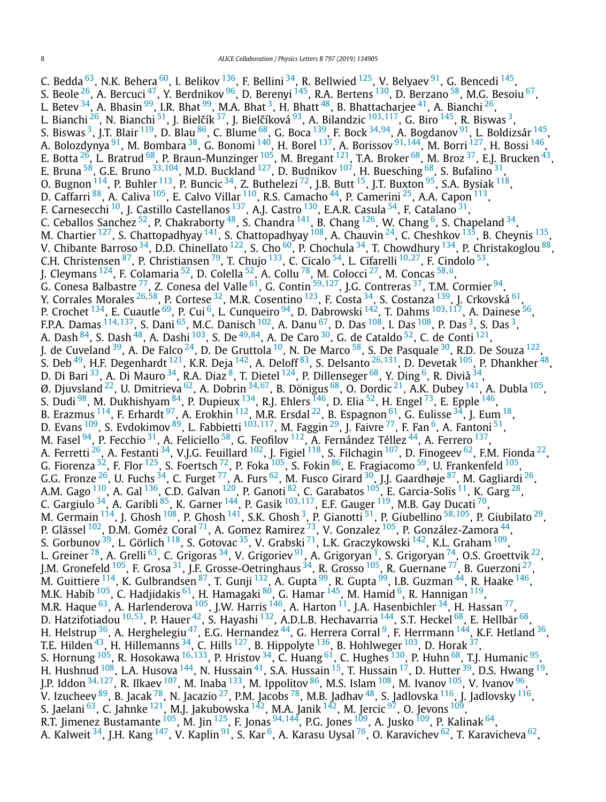C. Bedda  $^{63}$ , N.K. Behera  $^{60}$ , I. Belikov  $^{136}$  $^{136}$  $^{136}$ , F. Bellini  $^{34}$ , R. Bellwied  $^{125}$ , V. Belyaev  $^{91}$ , G. Bencedi  $^{145}$ , S. Beole <sup>[26](#page-10-0)</sup>, A. Bercuci <sup>47</sup>, Y. Berdnikov <sup>96</sup>, D. Berenyi <sup>145</sup>, R.A. Bertens <sup>130</sup>, D. Berzano <sup>58</sup>, M.G. Besoiu <sup>67</sup>, L. Betev  $^{34}$ , A. Bhasin  $^{99}$  $^{99}$  $^{99}$ , I.R. Bhat  $^{99}$ , M.A. Bhat  $^3$ , H. Bhatt  $^{48}$ , B. Bhattacharjee  $^{41}$ , A. Bianchi  $^{26}$ , L. Bianchi <sup>[26](#page-10-0)</sup>, N. Bianchi <sup>[51](#page-10-0)</sup>, J. Bielčík <sup>[37](#page-10-0)</sup>, J. Bielčíková <sup>[93](#page-11-0)</sup>, A. Bilandzic <sup>[103](#page-11-0),117</sup>, G. Biro <sup>145</sup>, R. Biswas <sup>3</sup>, S. Biswas [3,](#page-9-0) J.T. Blair [119,](#page-11-0) D. Blau [86,](#page-10-0) C. Blume [68,](#page-10-0) G. Boca [139](#page-11-0), F. Bock [34](#page-10-0)*,*[94,](#page-11-0) A. Bogdanov [91,](#page-10-0) L. Boldizsár [145,](#page-11-0) A. Bolozdynya [91,](#page-10-0) M. Bombara [38,](#page-10-0) G. Bonomi [140,](#page-11-0) H. Borel [137,](#page-11-0) A. Borissov [91](#page-10-0)*,*[144](#page-11-0), M. Borri [127,](#page-11-0) H. Bossi [146](#page-11-0), E. Botta  $^{26}$ , L. Bratrud  $^{68}$ , P. Braun-Munzinger  $^{105}$ , M. Bregant  $^{121}$ , T.A. Broker  $^{68}$ , M. Broz  $^{37}$ , E.J. Brucken  $^{43}$ , E. Bruna [58,](#page-10-0) G.E. Bruno [33](#page-10-0)*,*[104,](#page-11-0) M.D. Buckland [127](#page-11-0), D. Budnikov [107,](#page-11-0) H. Buesching [68,](#page-10-0) S. Bufalino [31,](#page-10-0) O. Bugnon  $^{114}$ , P. Buhler  $^{113}$ , P. Buncic  $^{34}$ , Z. Buthelezi  $^{72}$ , J.B. Butt  $^{15}$ , J.T. Buxton  $^{95}$ , S.A. Bysiak  $^{118}$  $^{118}$  $^{118}$ , D. Caffarri <sup>88</sup>, A. Caliva <sup>105</sup>, E. Calvo Villar <sup>110</sup>, R.S. Camacho <sup>44</sup>, P. Camerini <sup>25</sup>, A.A. Capon <sup>113</sup>, F. Carnesecchi <sup>10</sup>, J. Castillo Castellanos <sup>137</sup>, A.J. Castro <sup>130</sup>, E.A.R. Casula <sup>54</sup>, F. Catalano <sup>31</sup>, C. Ceballos Sanchez  $^{52}$ , P. Chakraborty  $^{48}$ , S. Chandra  $^{141}$ , B. Chang  $^{126}$ , W. Chang  $^6$ , S. Chapeland  $^{34}$  $^{34}$  $^{34}$ , M. Chartier  $^{127}$ , S. Chattopadhyay  $^{141}$ , S. Chattopadhyay  $^{108}$ , A. Chauvin  $^{24}$ , C. Cheshkov  $^{135}$ , B. Cheynis  $^{135}$ , V. Chibante Barroso  $^{34}$  $^{34}$  $^{34}$ , D.D. Chinellato  $^{122}$ , S. Cho  $^{60}$ , P. Chochula  $^{34}$ , T. Chowdhury  $^{134}$ , P. Christakoglou  $^{88}$ , C.H. Christensen [87,](#page-10-0) P. Christiansen [79,](#page-10-0) T. Chujo [133,](#page-11-0) C. Cicalo [54,](#page-10-0) L. Cifarelli [10](#page-9-0)*,*[27,](#page-10-0) F. Cindolo [53,](#page-10-0) J. Cleymans [124,](#page-11-0) F. Colamaria [52,](#page-10-0) D. Colella [52,](#page-10-0) A. Collu [78,](#page-10-0) M. Colocci [27,](#page-10-0) M. Concas [58](#page-10-0)*,*[ii,](#page-11-0) G. Conesa Balbastre [77,](#page-10-0) Z. Conesa del Valle [61,](#page-10-0) G. Contin [59](#page-10-0)*,*[127,](#page-11-0) J.G. Contreras [37,](#page-10-0) T.M. Cormier [94](#page-11-0), Y. Corrales Morales [26](#page-10-0)*,*[58,](#page-10-0) P. Cortese [32](#page-10-0), M.R. Cosentino [123,](#page-11-0) F. Costa [34,](#page-10-0) S. Costanza [139,](#page-11-0) J. Crkovská [61,](#page-10-0) P. Crochet [134,](#page-11-0) E. Cuautle [69,](#page-10-0) P. Cui [6,](#page-9-0) L. Cunqueiro [94,](#page-11-0) D. Dabrowski [142](#page-11-0), T. Dahms [103](#page-11-0)*,*[117](#page-11-0), A. Dainese [56](#page-10-0), F.P.A. Damas <sup>[114](#page-11-0), 137</sup>, S. Dani <sup>65</sup>, M.C. Danisch <sup>102</sup>, A. Danu <sup>67</sup>, D. Das <sup>108</sup>, I. Das <sup>108</sup>, P. Das <sup>3</sup>, S. Das <sup>3</sup>, A. Dash [84,](#page-10-0) S. Dash [48,](#page-10-0) A. Dashi [103,](#page-11-0) S. De [49](#page-10-0)*,*[84](#page-10-0), A. De Caro [30,](#page-10-0) G. de Cataldo [52,](#page-10-0) C. de Conti [121,](#page-11-0) J. de Cuveland  $^{39}$ , A. De Falco  $^{24}$ , D. De Gruttola  $^{10}$ , N. De Marco  $^{58}$ , S. De Pasquale  $^{30}$ , R.D. De Souza  $^{122}$ , S. Deb [49,](#page-10-0) H.F. Degenhardt [121,](#page-11-0) K.R. Deja [142,](#page-11-0) A. Deloff [83,](#page-10-0) S. Delsanto [26](#page-10-0)*,*[131,](#page-11-0) D. Devetak [105,](#page-11-0) P. Dhankher [48](#page-10-0), D. Di Bari <sup>33</sup>, A. Di Mauro <sup>34</sup>, R.A. Diaz <sup>8</sup>, T. Dietel <sup>124</sup>, P. Dillenseger <sup>[6](#page-9-0)8</sup>, Y. Ding <sup>6</sup>, R. Divià <sup>34</sup>, Ø. Djuvsland [22,](#page-10-0) U. Dmitrieva [62](#page-10-0), A. Dobrin [34](#page-10-0)*,*[67,](#page-10-0) B. Dönigus [68](#page-10-0), O. Dordic [21,](#page-10-0) A.K. Dubey [141,](#page-11-0) A. Dubla [105,](#page-11-0) S. Dudi <sup>98</sup>, M. Dukhishyam <sup>84</sup>, P. Dupieux <sup>[134](#page-11-0)</sup>, R.J. Ehlers <sup>146</sup>, D. Elia <sup>52</sup>, H. Engel <sup>[73](#page-10-0)</sup>, E. Epple <sup>146</sup>, B. Erazmus  $^{114}$ , F. Erhardt  $^{97}$ , A. Erokhin  $^{112}$ , M.R. Ersdal  $^{22}$ , B. Espagnon  $^{61}$ , G. Eulisse  $^{34}$ , J. Eum  $^{18}$ , D. Evans <sup>[109](#page-11-0)</sup>, S. Evdokimov <sup>89</sup>, L. Fabbietti <sup>[103](#page-11-0),117</sup>, M. Faggin <sup>29</sup>, J. Faivre <sup>77</sup>, F. Fan <sup>6</sup>, A. Fantoni <sup>51</sup>, M. Fasel  $94$ , P. Fecchio  $31$ , A. Feliciello  $58$ , G. Feofilov  $112$ , A. Fernández Téllez  $44$ , A. Ferrero  $137$ , A. Ferretti <sup>26</sup>, A. Festanti <sup>34</sup>, V.J.G. Feuillard <sup>[102](#page-11-0)</sup>, J. Figiel <sup>118</sup>, S. Filchagin <sup>107</sup>, D. Finogeev <sup>62</sup>, F.M. Fionda <sup>22</sup>, G. Fiorenza  $^{52}$ , F. Flor  $^{125}$ , S. Foertsch  $^{72}$ , P. Foka  $^{105}$ , S. Fokin  $^{86}$ , E. Fragiacomo  $^{59}$ , U. Frankenfeld  $^{105}$ , G.G. Fronze  $^{26}$ , U. Fuchs  $^{34}$ , C. Furget  $^{77}$ , A. Furs  $^{62}$ , M. Fusco Girard  $^{30}$ , J.J. Gaardhøje  $^{87}$ , M. Gagliardi  $^{26}$ , A.M. Gago  $^{110}$ , A. Gal  $^{136}$ , C.D. Galvan  $^{120}$ , P. Ganoti  $^{82}$ , C. Garabatos  $^{105}$ , E. Garcia-Solis  $^{11}$ , K. Garg  $^{28}$ , C. Gargiulo [34,](#page-10-0) A. Garibli [85,](#page-10-0) K. Garner [144,](#page-11-0) P. Gasik [103](#page-11-0)*,*[117](#page-11-0), E.F. Gauger [119,](#page-11-0) M.B. Gay Ducati [70,](#page-10-0) M. Germain [114,](#page-11-0) J. Ghosh [108,](#page-11-0) P. Ghosh [141,](#page-11-0) S.K. Ghosh [3,](#page-9-0) P. Gianotti [51,](#page-10-0) P. Giubellino [58](#page-10-0)*,*[105,](#page-11-0) P. Giubilato [29,](#page-10-0) P. Glässel <sup>102</sup>, D.M. Goméz Coral <sup>71</sup>, A. Gomez Ramirez <sup>73</sup>, V. Gonzalez <sup>[105](#page-11-0)</sup>, P. González-Zamora <sup>44</sup>, S. Gorbunov <sup>39</sup>, L. Görlich <sup>[118](#page-11-0)</sup>, S. Gotovac <sup>35</sup>, V. Grabski <sup>71</sup>, L.K. Graczykowski <sup>142</sup>, K.L. Graham <sup>109</sup>, L. Greiner  $^{78}$ , A. Grelli  $^{63}$ , C. Grigoras  $^{34}$ , V. Grigoriev  $^{91}$  $^{91}$  $^{91}$ , A. Grigoryan  $^1$ , S. Grigoryan  $^{74}$ , O.S. Groettvik  $^{22}$ , J.M. Gronefeld <sup>[105](#page-11-0)</sup>, F. Grosa <sup>31</sup>, J.F. Grosse-Oetringhaus <sup>34</sup>, R. Grosso <sup>105</sup>, R. Guernane <sup>[77](#page-10-0)</sup>, B. Guerzoni <sup>27</sup>, M. Guittiere <sup>114</sup>, K. Gulbrandsen <sup>87</sup>, T. Gunji <sup>132</sup>, A. Gupta <sup>99</sup>, R. Gupta <sup>99</sup>, I.B. Guzman <sup>[44](#page-10-0)</sup>, R. Haake <sup>146</sup>, M.K. Habib <sup>105</sup>, C. Hadjidakis <sup>61</sup>, H. Hamagaki <sup>80</sup>, G. Hamar <sup>[145](#page-11-0)</sup>, M. Hamid <sup>6</sup>, R. Hannigan <sup>119</sup>, M.R. Haque  $^{63}$ , A. Harlenderova  $^{105}$ , J.W. Harris  $^{146}$ , A. Harton  $^{11}$  $^{11}$  $^{11}$ , J.A. Hasenbichler  $^{34}$  $^{34}$  $^{34}$ , H. Hassan  $^{77}$ , D. Hatzifotiadou [10](#page-9-0)*,*[53,](#page-10-0) P. Hauer [42,](#page-10-0) S. Hayashi [132,](#page-11-0) A.D.L.B. Hechavarria [144,](#page-11-0) S.T. Heckel [68,](#page-10-0) E. Hellbär [68,](#page-10-0) H. Helstrup <sup>36</sup>, A. Herghelegiu <sup>47</sup>, E.G. Hernandez <sup>44</sup>, G. Herrera Corral <sup>9</sup>, F. Herrmann <sup>144</sup>, K.F. Hetland <sup>36</sup>, T.E. Hilden  $^{43}$ , H. Hillemanns  $^{34}$ , C. Hills  $^{127}$ , B. Hippolyte  $^{136}$ , B. Hohlweger  $^{103}$ , D. Horak  $^{37}$ , S. Hornung [105](#page-11-0), R. Hosokawa [16](#page-10-0)*,*[133,](#page-11-0) P. Hristov [34,](#page-10-0) C. Huang [61,](#page-10-0) C. Hughes [130,](#page-11-0) P. Huhn [68,](#page-10-0) T.J. Humanic [95,](#page-11-0) H. Hushnud <sup>108</sup>, L.A. Husova <sup>144</sup>, N. Hussain <sup>41</sup>, S.A. Hussain <sup>15</sup>, T. Hussain <sup>17</sup>, D. Hutter <sup>39</sup>, D.S. Hwang <sup>19</sup>, J.P. Iddon [34](#page-10-0)*,*[127,](#page-11-0) R. Ilkaev [107,](#page-11-0) M. Inaba [133,](#page-11-0) M. Ippolitov [86,](#page-10-0) M.S. Islam [108,](#page-11-0) M. Ivanov [105,](#page-11-0) V. Ivanov [96,](#page-11-0) V. Izucheev $^{89}$ , B. Jacak $^{78}$ , N. Jacazio $^{27}$ , P.M. Jacobs $^{78}$ , M.B. Jadhav $^{48}$ , S. Jadlovska  $^{116}$ , J. Jadlovsky  $^{116}$ , S. Jaelani  $^{63}$ , C. Jahnke  $^{121}$ , M.J. Jakubowska  $^{142}$ , M.A. Janik  $^{142}$ , M. Jercic  $^{97}$  $^{97}$  $^{97}$ , O. Jevons  $^{109}$  $^{109}$  $^{109}$ , R.T. Jimenez Bustamante [105,](#page-11-0) M. Jin [125](#page-11-0), F. Jonas [94](#page-11-0)*,*[144,](#page-11-0) P.G. Jones [109,](#page-11-0) A. Jusko [109](#page-11-0), P. Kalinak [64,](#page-10-0) A. Kalweit <sup>[34](#page-10-0)</sup>, J.H. Kang <sup>147</sup>, V. Kaplin <sup>91</sup>, S. Kar <sup>6</sup>, A. Karasu Uysal <sup>76</sup>, O. Karavichev <sup>62</sup>, T. Karavicheva <sup>62</sup>,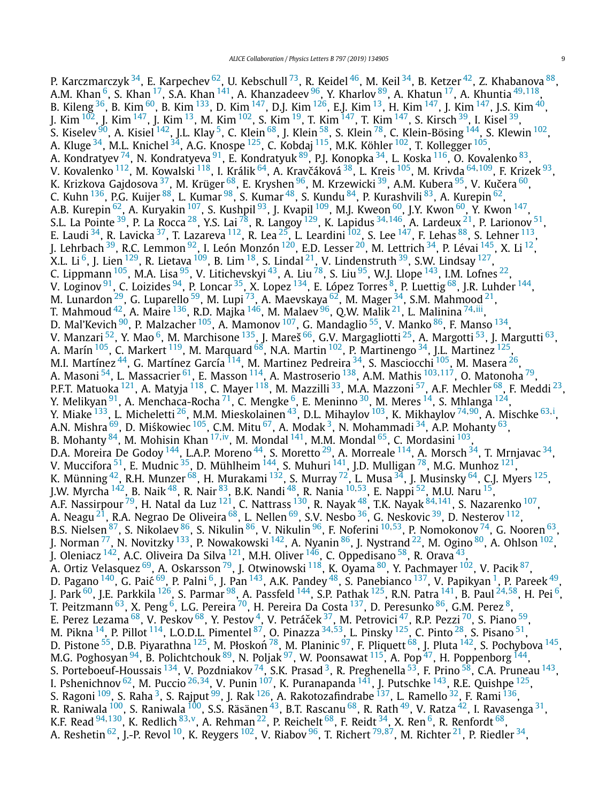P. Karczmarczyk <sup>34</sup>, E. Karpechev <sup>62</sup>, U. Kebschull <sup>73</sup>, R. Keidel <sup>46</sup>, M. Keil <sup>34</sup>, B. Ketzer <sup>42</sup>, Z. Khabanova <sup>88</sup>, A.M. Khan [6,](#page-9-0) S. Khan [17,](#page-10-0) S.A. Khan [141](#page-11-0), A. Khanzadeev [96,](#page-11-0) Y. Kharlov [89,](#page-10-0) A. Khatun [17,](#page-10-0) A. Khuntia [49](#page-10-0)*,*[118,](#page-11-0) B. Kileng  $^{36}$ , B. Kim  $^{60}$ , B. Kim  $^{133}$  $^{133}$  $^{133}$ , D. Kim  $^{147}$ , D.J. Kim  $^{126}$ , E.J. Kim  $^{13}$ , H. Kim  $^{147}$ , J. Kim  $^{147}$ , J.S. Kim  $^{40}$ , J. Kim <sup>102</sup>, J. Kim <sup>147</sup>, J. Kim <sup>13</sup>, M. Kim <sup>102</sup>, S. Kim <sup>19</sup>, T. Kim <sup>147</sup>, T. Kim <sup>147</sup>, S. Kirsch <sup>39</sup>, I. Kisel <sup>39</sup>, S. Kiselev $^{90}$ , A. Kisiel  $^{142}$ , J.L. Klay  $^5$ , C. Klein  $^{68}$ , J. Klein  $^{58}$ , S. Klein  $^{78}$ , C. Klein-Bösing  $^{144}$ , S. Klewin  $^{102}$  $^{102}$  $^{102}$ , A. Kluge <sup>34</sup>, M.L. Knichel <sup>34</sup>, A.G. Knospe <sup>125</sup>, C. Kobdaj <sup>115</sup>, M.K. Köhler <sup>102</sup>, T. Kollegger <sup>105</sup>, A. Kondratyev <sup>74</sup>, N. Kondratyeva <sup>91</sup>, E. Kondratyuk <sup>89</sup>, P.J. Konopka <sup>[34](#page-10-0)</sup>, L. Koska <sup>116</sup>, O. Kovalenko <sup>83</sup>, V. Kovalenko <sup>112</sup>, M. Kowalski <sup>118</sup>, I. Králik <sup>64</sup>, A. Kravčáková <sup>38</sup>, L. Kreis <sup>105</sup>, M. Krivda <sup>[64,](#page-10-0)109</sup>, F. Krizek <sup>93</sup>, K. Krizkova Gajdosova <sup>37</sup>, M. Krüger <sup>68</sup>, E. Kryshen <sup>96</sup>, M. Krzewicki <sup>39</sup>, A.M. Kubera <sup>[95](#page-11-0)</sup>, V. Kučera <sup>60</sup>, C. Kuhn <sup>136</sup>, P.G. Kuijer <sup>88</sup>, L. Kumar <sup>98</sup>, S. Kumar <sup>48</sup>, S. Kundu <sup>84</sup>, P. Kurashvili <sup>83</sup>, A. Kurepin <sup>62</sup>, A.B. Kurepin <sup>62</sup>, A. Kuryakin <sup>[107](#page-11-0)</sup>, S. Kushpil <sup>93</sup>, J. Kvapil <sup>109</sup>, M.J. Kweon <sup>[60](#page-10-0)</sup>, J.Y. Kwon <sup>60</sup>, Y. Kwon <sup>147</sup>, S.L. La Pointe [39,](#page-10-0) P. La Rocca [28](#page-10-0), Y.S. Lai [78,](#page-10-0) R. Langoy [129](#page-11-0), K. Lapidus [34](#page-10-0)*,*[146,](#page-11-0) A. Lardeux [21,](#page-10-0) P. Larionov [51,](#page-10-0) E. Laudi  $^{34}$  $^{34}$  $^{34}$ , R. Lavicka  $^{37}$ , T. Lazareva  $^{112}$ , R. Lea  $^{25}$  $^{25}$  $^{25}$ , L. Leardini  $^{102}$ , S. Lee  $^{147}$ , F. Lehas  $^{88}$ , S. Lehner  $^{113}$ , J. Lehrbach  $^{39}$ , R.C. Lemmon  $^{92}$ , I. León Monzón  $^{120}$ , E.D. Lesser  $^{20}$ , M. Lettrich  $^{34}$ , P. Lévai  $^{145}$ , X. Li  $^{12}$ , X.L. Li  $^6$ , J. Lien  $^{129}$ , R. Lietava  $^{109}$ , B. Lim  $^{18}$ , S. Lindal  $^{21}$  $^{21}$  $^{21}$ , V. Lindenstruth  $^{39}$ , S.W. Lindsay  $^{127}$ , C. Lippmann  $^{105}$ , M.A. Lisa  $^{95}$ , V. Litichevskyi  $^{43}$ , A. Liu  $^{78}$ , S. Liu  $^{95}$ , W.J. Llope  $^{143}$ , I.M. Lofnes  $^{22}$  $^{22}$  $^{22}$ , V. Loginov <sup>91</sup>, C. Loizides <sup>94</sup>, P. Loncar <sup>35</sup>, X. Lopez <sup>134</sup>, E. López Torres <sup>8</sup>, P. Luettig <sup>68</sup>, J.R. Luhder <sup>144</sup>, M. Lunardon $^{29}$ , G. Luparello $^{59}$  $^{59}$  $^{59}$ , M. Lupi $^{\,73}$ , A. Maevskaya $^{62}$ , M. Mager $^{34}$ , S.M. Mahmood $^{21}$ , T. Mahmoud [42,](#page-10-0) A. Maire [136,](#page-11-0) R.D. Majka [146,](#page-11-0) M. Malaev [96,](#page-11-0) Q.W. Malik [21,](#page-10-0) L. Malinina [74](#page-10-0)*,*[iii,](#page-11-0) D. Mal'Kevich <sup>90</sup>, P. Malzacher <sup>105</sup>, A. Mamonov <sup>[107](#page-11-0)</sup>, G. Mandaglio <sup>55</sup>, V. Manko <sup>86</sup>, F. Manso <sup>134</sup>, V. Manzari <sup>52</sup>, Y. Mao <sup>6</sup>, M. Marchisone <sup>135</sup>, J. Mareš <sup>66</sup>, G.V. Margagliotti <sup>25</sup>, A. Margotti <sup>53</sup>, J. Margutti <sup>63</sup>, A. Marín  $^{105}$ , C. Markert  $^{119}$ , M. Marquard  $^{68}$ , N.A. Martin  $^{102}$ , P. Martinengo  $^{34}$ , J.L. Martinez  $^{125}$  $^{125}$  $^{125}$ , M.I. Martínez <sup>44</sup>, G. Martínez García <sup>114</sup>, M. Martinez Pedreira <sup>34</sup>, S. Masciocchi <sup>105</sup>, M. Masera <sup>26</sup>, A. Masoni [54,](#page-10-0) L. Massacrier [61,](#page-10-0) E. Masson [114,](#page-11-0) A. Mastroserio [138,](#page-11-0) A.M. Mathis [103](#page-11-0)*,*[117,](#page-11-0) O. Matonoha [79,](#page-10-0) P.F.T. Matuoka <sup>[121](#page-11-0)</sup>, A. Matyja <sup>118</sup>, C. Mayer <sup>118</sup>, M. Mazzilli <sup>33</sup>, M.A. Mazzoni <sup>57</sup>, A.F. Mechler <sup>68</sup>, F. Meddi <sup>23</sup>, Y. Melikyan $^{91}$ , A. Menchaca-Rocha $^{71}$ , C. Mengke $^6$ , E. Meninno $^{30}$ , M. Meres $^{14}$ , S. Mhlanga $^{124}$ , Y. Miake [133,](#page-11-0) L. Micheletti [26](#page-10-0), M.M. Mieskolainen [43,](#page-10-0) D.L. Mihaylov [103,](#page-11-0) K. Mikhaylov [74](#page-10-0)*,*[90,](#page-10-0) A. Mischke [63](#page-10-0)*,*[i](#page-11-0) , A.N. Mishra  $^{69}$ , D. Miśkowiec  $^{105}$ , C.M. Mitu  $^{67}$ , A. Modak  $^3$ , N. Mohammadi  $^{34}$ , A.P. Mohanty  $^{63}$ , B. Mohanty [84,](#page-10-0) M. Mohisin Khan [17](#page-10-0)*,*[iv,](#page-11-0) M. Mondal [141,](#page-11-0) M.M. Mondal [65](#page-10-0), C. Mordasini [103,](#page-11-0) D.A. Moreira De Godoy  $^{144}$  $^{144}$  $^{144}$ , L.A.P. Moreno  $^{44}$ , S. Moretto  $^{29}$ , A. Morreale  $^{114}$ , A. Morsch  $^{34}$  $^{34}$  $^{34}$ , T. Mrnjavac  $^{34},$ V. Muccifora  $^{51}$ , E. Mudnic  $^{35}$ , D. Mühlheim  $^{144}$  $^{144}$  $^{144}$ , S. Muhuri  $^{141}$  $^{141}$  $^{141}$ , J.D. Mulligan  $^{78}$  $^{78}$  $^{78}$ , M.G. Munhoz  $^{121}$  $^{121}$  $^{121}$ , K. Münning  $^{42}$ , R.H. Munzer  $^{68}$ , H. Murakami  $^{132}$ , S. Murray  $^{72}$ , L. Musa  $^{34}$ , J. Musinsky  $^{64}$ , C.J. Myers  $^{125}$ , J.W. Myrcha [142](#page-11-0), B. Naik [48,](#page-10-0) R. Nair [83,](#page-10-0) B.K. Nandi [48,](#page-10-0) R. Nania [10](#page-9-0)*,*[53,](#page-10-0) E. Nappi [52,](#page-10-0) M.U. Naru [15,](#page-10-0) A.F. Nassirpour [79,](#page-10-0) H. Natal da Luz [121,](#page-11-0) C. Nattrass [130,](#page-11-0) R. Nayak [48,](#page-10-0) T.K. Nayak [84](#page-10-0)*,*[141,](#page-11-0) S. Nazarenko [107,](#page-11-0) A. Neagu $^{21}$ , R.A. Negrao De Oliveira $^{68}$ , L. Nellen $^{69}$ , S.V. Nesbo $^{36}$ , G. Neskovic $^{39}$ , D. Nesterov $^{112}$ , B.S. Nielsen [87,](#page-10-0) S. Nikolaev [86,](#page-10-0) S. Nikulin [86,](#page-10-0) V. Nikulin [96](#page-11-0), F. Noferini [10](#page-9-0)*,*[53](#page-10-0), P. Nomokonov [74,](#page-10-0) G. Nooren [63,](#page-10-0) J. Norman <sup>77</sup>, N. Novitzky <sup>133</sup>, P. Nowakowski <sup>142</sup>, A. Nyanin <sup>86</sup>, J. Nystrand <sup>22</sup>, M. Ogino <sup>80</sup>, A. Ohlson <sup>102</sup>, J. Oleniacz <sup>142</sup>, A.C. Oliveira Da Silva <sup>121</sup>, M.H. Oliver <sup>146</sup>, C. Oppedisano <sup>58</sup>, R. Orava <sup>[43](#page-10-0)</sup>, A. Ortiz Velasquez  $^{69}$ , A. Oskarsson  $^{79}$ , J. Otwinowski  $^{118}$ , K. Oyama  $^{80}$ , Y. Pachmayer  $^{102}$ , V. Pacik  $^{87},$ D. Pagano  $^{140}$ , G. Paić  $^{69}$ , P. Palni  $^6$ , J. Pan  $^{143}$ , A.K. Pandey  $^{48}$ , S. Panebianco  $^{137}$ , V. Papikyan  $^1$ , P. Pareek  $^{49}$ , J. Park [60,](#page-10-0) J.E. Parkkila [126](#page-11-0), S. Parmar [98,](#page-11-0) A. Passfeld [144,](#page-11-0) S.P. Pathak [125,](#page-11-0) R.N. Patra [141,](#page-11-0) B. Paul [24](#page-10-0)*,*[58](#page-10-0), H. Pei [6,](#page-9-0) T. Peitzmann $^{63}$  $^{63}$  $^{63}$ , X. Peng $^6$ , L.G. Pereira $^{70}$ , H. Pereira Da Costa $^{137}$ , D. Peresunko $^{86}$ , G.M. Perez $^8$ , E. Perez Lezama  $^{68}$ , V. Peskov  $^{68}$ , Y. Pestov  $^4$ , V. Petráček  $^{37}$ , M. Petrovici  $^{47}$ , R.P. Pezzi  $^{70}$ , S. Piano  $^{59}$ , M. Pikna [14,](#page-9-0) P. Pillot [114,](#page-11-0) L.O.D.L. Pimentel [87,](#page-10-0) O. Pinazza [34](#page-10-0)*,*[53,](#page-10-0) L. Pinsky [125,](#page-11-0) C. Pinto [28,](#page-10-0) S. Pisano [51,](#page-10-0) D. Pistone <sup>55</sup>, D.B. Piyarathna <sup>125</sup>, M. Płoskoń <sup>78</sup>, M. Planinic <sup>97</sup>, F. Pliquett <sup>68</sup>, J. Pluta <sup>142</sup>, S. Pochybova <sup>145</sup>, M.G. Poghosyan  $^{94}$ , B. Polichtchouk  $^{89}$ , N. Poljak  $^{97}$ , W. Poonsawat  $^{115}$ , A. Pop  $^{47}$ , H. Poppenborg  $^{144},$ S. Porteboeuf-Houssais <sup>1[3](#page-9-0)4</sup>, V. Pozdniakov <sup>74</sup>, S.K. Prasad <sup>3</sup>, R. Preghenella <sup>[53](#page-10-0)</sup>, F. Prino <sup>58</sup>, C.A. Pruneau <sup>143</sup>, I. Pshenichnov [62,](#page-10-0) M. Puccio [26](#page-10-0)*,*[34,](#page-10-0) V. Punin [107,](#page-11-0) K. Puranapanda [141,](#page-11-0) J. Putschke [143,](#page-11-0) R.E. Quishpe [125,](#page-11-0) S. Ragoni <sup>109</sup>, S. Raha <sup>3</sup>, S. Rajput <sup>99</sup>, J. Rak <sup>126</sup>, A. Rakotozafindrabe <sup>[137](#page-11-0)</sup>, L. Ramello <sup>32</sup>, F. Rami <sup>136</sup>, R. Raniwala <sup>100</sup>, S. Raniwala <sup>100</sup>, S.S. Räsänen <sup>43</sup>, B.T. Rascanu <sup>68</sup>, R. Rath <sup>49</sup>, V. Ratza <sup>42</sup>, I. Ravasenga <sup>31</sup>, K.F. Read [94](#page-11-0)*,*[130,](#page-11-0) K. Redlich [83](#page-10-0)*,*[v,](#page-11-0) A. Rehman [22](#page-10-0), P. Reichelt [68,](#page-10-0) F. Reidt [34,](#page-10-0) X. Ren [6,](#page-9-0) R. Renfordt [68,](#page-10-0) A. Reshetin <sup>62</sup>, J.-P. Revol <sup>10</sup>, K. Reygers <sup>102</sup>, V. Riabov <sup>96</sup>, T. Richert <sup>[79](#page-10-0),87</sup>, M. Richter <sup>21</sup>, P. Riedler <sup>34</sup>,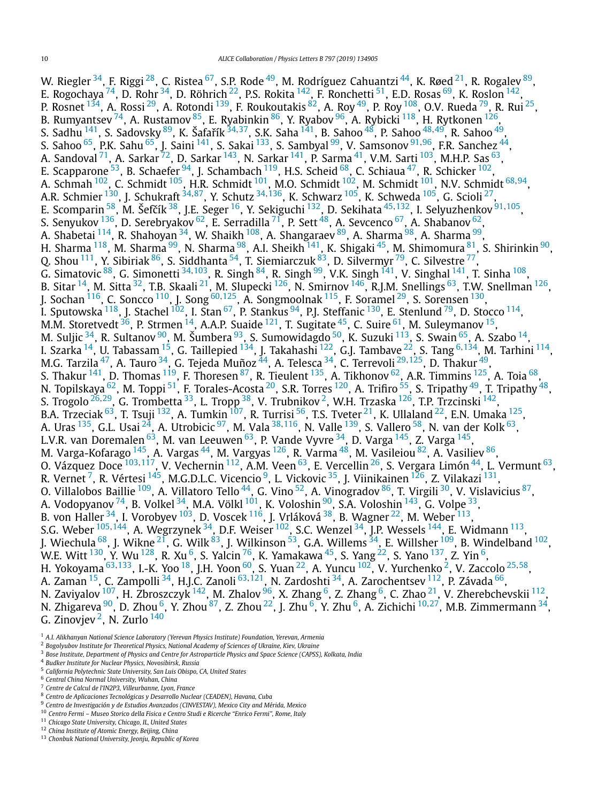<span id="page-9-0"></span>W. Riegler  $^{34}$ , F. Riggi  $^{28}$ , C. Ristea  $^{67}$ , S.P. Rode  $^{49}$  $^{49}$  $^{49}$ , M. Rodríguez Cahuantzi  $^{44}$ , K. Røed  $^{21}$ , R. Rogalev  $^{89}$ , E. Rogochaya  $^{74}$ , D. Rohr $^{34}$ , D. Röhrich  $^{22}$ , P.S. Rokita  $^{142}$ , F. Ronchetti  $^{51}$ , E.D. Rosas  $^{69}$ , K. Roslon  $^{142}$ , P. Rosnet  $^{134}$ , A. Rossi  $^{29}$ , A. Rotondi  $^{139}$ , F. Roukoutakis  $^{82}$ , A. Roy  $^{49}$  $^{49}$  $^{49}$ , P. Roy  $^{108}$ , O.V. Rueda  $^{79}$ , R. Rui  $^{25}$ , B. Rumyantsev <sup>74</sup>, A. Rustamov <sup>[85](#page-10-0)</sup>, E. Ryabinkin <sup>[86](#page-10-0)</sup>, Y. Ryabov <sup>96</sup>, A. Rybicki <sup>[118](#page-11-0)</sup>, H. Rytkonen <sup>126</sup>, S. Sadhu <sup>[141](#page-11-0)</sup>, S. Sadovsky <sup>[89](#page-10-0)</sup>, K. Šafařík <sup>[34](#page-10-0),37</sup>, S.K. Saha <sup>141</sup>, B. Sahoo <sup>48</sup>, P. Sahoo <sup>[48,](#page-10-0)[49](#page-10-0)</sup>, R. Sahoo <sup>49</sup>, S. Sahoo [65,](#page-10-0) P.K. Sahu [65,](#page-10-0) J. Saini [141,](#page-11-0) S. Sakai [133,](#page-11-0) S. Sambyal [99,](#page-11-0) V. Samsonov [91](#page-10-0)*,*[96,](#page-11-0) F.R. Sanchez [44](#page-10-0), A. Sandoval $^{71}$ , A. Sarkar $^{72}$  $^{72}$  $^{72}$ , D. Sarkar $^{143}$ , N. Sarkar $^{141}$ , P. Sarma $^{41}$ , V.M. Sarti $^{103}$  $^{103}$  $^{103}$ , M.H.P. Sas $^{63}$ , E. Scapparone <sup>[53](#page-10-0)</sup>, B. Schaefer <sup>[94](#page-11-0)</sup>, J. Schambach <sup>119</sup>, H.S. Scheid <sup>68</sup>, C. Schiaua <sup>47</sup>, R. Schicker <sup>102</sup>, A. Schmah [102,](#page-11-0) C. Schmidt [105,](#page-11-0) H.R. Schmidt [101,](#page-11-0) M.O. Schmidt [102,](#page-11-0) M. Schmidt [101,](#page-11-0) N.V. Schmidt [68](#page-10-0)*,*[94,](#page-11-0) A.R. Schmier [130,](#page-11-0) J. Schukraft [34](#page-10-0)*,*[87,](#page-10-0) Y. Schutz [34](#page-10-0)*,*[136,](#page-11-0) K. Schwarz [105,](#page-11-0) K. Schweda [105,](#page-11-0) G. Scioli [27,](#page-10-0) E. Scomparin <sup>58</sup>, M. Šefčík <sup>38</sup>, J.E. Seger <sup>16</sup>, Y. Sekiguchi <sup>132</sup>, D. Sekihata <sup>[45](#page-10-0),132</sup>, I. Selyuzhenkov <sup>[91](#page-10-0),105</sup>, S. Senyukov  $^{136}$ , D. Serebryakov  $^{62}$ , E. Serradilla  $^{71}$ , P. Sett  $^{48}$ , A. Sevcenco  $^{67}$ , A. Shabanov  $^{62}$ , A. Shabetai <sup>114</sup>, R. Shahoyan <sup>34</sup>, W. Shaikh <sup>108</sup>, A. Shangaraev <sup>89</sup>, A. Sharma <sup>98</sup>, A. Sharma <sup>99</sup>, H. Sharma <sup>118</sup>, M. Sharma <sup>99</sup>, N. Sharma <sup>98</sup>, A.I. Sheikh <sup>141</sup>, K. Shigaki <sup>45</sup>, M. Shimomura <sup>[81](#page-10-0)</sup>, S. Shirinkin <sup>90</sup>, Q. Shou  $^{111}$ , Y. Sibiriak  $^{86}$ , S. Siddhanta  $^{54}$ , T. Siemiarczuk  $^{83}$ , D. Silvermyr  $^{79}$ , C. Silvestre  $^{77}$ , G. Simatovic <sup>88</sup>, G. Simonetti <sup>[34](#page-10-0),103</sup>, R. Singh <sup>[84](#page-10-0)</sup>, R. Singh <sup>99</sup>, V.K. Singh <sup>141</sup>, V. Singhal <sup>141</sup>, T. Sinha <sup>108</sup>, B. Sitar <sup>14</sup>, M. Sitta <sup>32</sup>, T.B. Skaali <sup>[21](#page-10-0)</sup>, M. Slupecki <sup>126</sup>, N. Smirnov <sup>146</sup>, R.J.M. Snellings <sup>63</sup>, T.W. Snellman <sup>126</sup>, J. Sochan [116,](#page-11-0) C. Soncco [110,](#page-11-0) J. Song [60](#page-10-0)*,*[125,](#page-11-0) A. Songmoolnak [115,](#page-11-0) F. Soramel [29,](#page-10-0) S. Sorensen [130,](#page-11-0) I. Sputowska  $^{118}$ , J. Stachel  $^{102}$ , I. Stan  $^{67}$ , P. Stankus  $^{94}$ , P. Steffanic  $^{130}$ , E. Stenlund  $^{79}$ , D. Stocco  $^{114}$ , M.M. Storetvedt<sup>36</sup>, P. Strmen<sup>14</sup>, A.A.P. Suaide<sup>121</sup>, T. Sugitate<sup>45</sup>, C. Suire<sup>61</sup>, M. Suleymanov<sup>15</sup>, M. Suljic <sup>34</sup>, R. Sultanov <sup>90</sup>, M. Šumbera <sup>93</sup>, S. Sumowidagdo <sup>50</sup>, K. Suzuki <sup>113</sup>, S. Swain <sup>65</sup>, A. Szabo <sup>14</sup>, I. Szarka 14, U. Tabassam [15,](#page-10-0) G. Taillepied [134,](#page-11-0) J. Takahashi [122,](#page-11-0) G.J. Tambave [22,](#page-10-0) S. Tang <sup>6</sup>*,*[134,](#page-11-0) M. Tarhini [114,](#page-11-0) M.G. Tarzila [47,](#page-10-0) A. Tauro [34,](#page-10-0) G. Tejeda Muñoz [44,](#page-10-0) A. Telesca [34,](#page-10-0) C. Terrevoli [29](#page-10-0)*,*[125,](#page-11-0) D. Thakur [49,](#page-10-0) S. Thakur  $^{141}$ , D. Thomas  $^{119}$ , F. Thoresen  $^{87}$  $^{87}$  $^{87}$ , R. Tieulent  $^{135}$ , A. Tikhonov  $^{62}$ , A.R. Timmins  $^{125}$ , A. Toia  $^{68}$ , N. Topilskaya  $^{62}$ , M. Toppi  $^{51}$ , F. Torales-Acosta  $^{20}$  $^{20}$  $^{20}$ , S.R. Torres  $^{120}$ , A. Trifiro  $^{55}$ , S. Tripathy  $^{49}$ , T. Tripathy  $^{48},$ S. Trogolo [26](#page-10-0)*,*[29,](#page-10-0) G. Trombetta [33,](#page-10-0) L. Tropp [38,](#page-10-0) V. Trubnikov 2, W.H. Trzaska [126,](#page-11-0) T.P. Trzcinski [142,](#page-11-0) B.A. Trzeciak  $^{63}$ , T. Tsuji  $^{132}$ , A. Tumkin  $^{107}$ , R. Turrisi  $^{56}$ , T.S. Tveter  $^{21}$ , K. Ullaland  $^{22}$ , E.N. Umaka  $^{125}$ , A. Uras <sup>135</sup>, G.L. Usai <sup>24</sup>, A. Utrobicic <sup>97</sup>, M. Vala <sup>[38](#page-10-0),116</sup>, N. Valle <sup>139</sup>, S. Vallero <sup>58</sup>, N. van der Kolk <sup>63</sup>, L.V.R. van Doremalen $^{\rm 63}$ , M. van Leeuwen $^{\rm 63}$ , P. Vande Vyvre $^{\rm 34}$ , D. Varga  $^{\rm 145}$  $^{\rm 145}$  $^{\rm 145}$ , Z. Varga  $^{\rm 145}$ , M. Varga-Kofarago  $^{145}$ , A. Vargas  $^{44}$ , M. Vargyas  $^{126}$ , R. Varma  $^{48}$ , M. Vasileiou  $^{82}$  $^{82}$  $^{82}$ , A. Vasiliev  $^{86},$ O. Vázquez Doce [103](#page-11-0)*,*[117,](#page-11-0) V. Vechernin [112,](#page-11-0) A.M. Veen [63,](#page-10-0) E. Vercellin [26,](#page-10-0) S. Vergara Limón [44,](#page-10-0) L. Vermunt [63,](#page-10-0) R. Vernet<sup>7</sup>, R. Vértesi <sup>[145](#page-11-0)</sup>, M.G.D.L.C. Vicencio<sup>9</sup>, L. Vickovic <sup>35</sup>, J. Viinikainen <sup>[126](#page-11-0)</sup>, Z. Vilakazi <sup>131</sup>, O. Villalobos Baillie <sup>109</sup>, A. Villatoro Tello <sup>44</sup>, G. Vino <sup>52</sup>, A. Vinogradov <sup>86</sup>, T. Virgili <sup>30</sup>, V. Vislavicius <sup>87</sup>, A. Vodopyanov <sup>74</sup>, B. Volkel <sup>34</sup>, M.A. Völkl <sup>101</sup>, K. Voloshin <sup>90</sup>, S.A. Voloshin <sup>143</sup>, G. Volpe <sup>33</sup>, B. von Haller $^{34}$ , I. Vorobyev $^{103}$ , D. Voscek $^{116}$ , J. Vrláková $^{38}$ , B. Wagner $^{22}$ , M. Weber $^{113}$ , S.G. Weber [105](#page-11-0)*,*[144,](#page-11-0) A. Wegrzynek [34,](#page-10-0) D.F. Weiser [102,](#page-11-0) S.C. Wenzel [34,](#page-10-0) J.P. Wessels [144](#page-11-0), E. Widmann [113,](#page-11-0) J. Wiechula  $^{68}$ , J. Wikne  $^{21}$ , G. Wilk  $^{83}$ , J. Wilkinson  $^{53}$ , G.A. Willems  $^{34}$ , E. Willsher  $^{109}$ , B. Windelband  $^{102}$ , W.E. Witt  $^{130}$ , Y. Wu  $^{128}$ , R. Xu  $^6$ , S. Yalcin  $^{76}$ , K. Yamakawa  $^{45}$ , S. Yang  $^{22}$ , S. Yano  $^{137}$ , Z. Yin  $^6$ , H. Yokoyama [63](#page-10-0)*,*[133,](#page-11-0) I.-K. Yoo [18,](#page-10-0) J.H. Yoon [60,](#page-10-0) S. Yuan [22,](#page-10-0) A. Yuncu [102](#page-11-0), V. Yurchenko 2, V. Zaccolo [25](#page-10-0)*,*[58,](#page-10-0) A. Zaman [15](#page-10-0), C. Zampolli [34,](#page-10-0) H.J.C. Zanoli [63](#page-10-0)*,*[121,](#page-11-0) N. Zardoshti [34,](#page-10-0) A. Zarochentsev [112,](#page-11-0) P. Závada [66,](#page-10-0) N. Zaviyalov  $^{107}$ , H. Zbroszczyk  $^{142}$  $^{142}$  $^{142}$ , M. Zhalov  $^{96}$ , X. Zhang  $^6$ , Z. Zhang  $^6$ , C. Zhao  $^{21}$ , V. Zherebchevskii  $^{112}$ , N. Zhigareva [90,](#page-10-0) D. Zhou 6, Y. Zhou [87,](#page-10-0) Z. Zhou [22,](#page-10-0) J. Zhu 6, Y. Zhu 6, A. Zichichi <sup>10</sup>*,*[27,](#page-10-0) M.B. Zimmermann [34,](#page-10-0) G. Zinovjev $^2$ , N. Zurlo  $^{140}$  $^{140}$  $^{140}$ 

<sup>1</sup> *A.I. Alikhanyan National Science Laboratory (Yerevan Physics Institute) Foundation, Yerevan, Armenia*

<sup>2</sup> *Bogolyubov Institute for Theoretical Physics, National Academy of Sciences of Ukraine, Kiev, Ukraine*

Bose Institute, Department of Physics and Centre for Astroparticle Physics and Space Science (CAPSS), Kolkata, India <sup>4</sup> *Budker Institute for Nuclear Physics, Novosibirsk, Russia*

<sup>5</sup> *California Polytechnic State University, San Luis Obispo, CA, United States*

<sup>6</sup> *Central China Normal University, Wuhan, China*

<sup>7</sup> *Centre de Calcul de l'IN2P3, Villeurbanne, Lyon, France*

<sup>8</sup> *Centro de Aplicaciones Tecnológicas y Desarrollo Nuclear (CEADEN), Havana, Cuba* <sup>9</sup> *Centro de Investigación y de Estudios Avanzados (CINVESTAV), Mexico City and Mérida, Mexico*

<sup>10</sup> *Centro Fermi – Museo Storico della Fisica e Centro Studi e Ricerche "Enrico Fermi", Rome, Italy*

<sup>11</sup> *Chicago State University, Chicago, IL, United States*

<sup>12</sup> *China Institute of Atomic Energy, Beijing, China*

<sup>13</sup> *Chonbuk National University, Jeonju, Republic of Korea*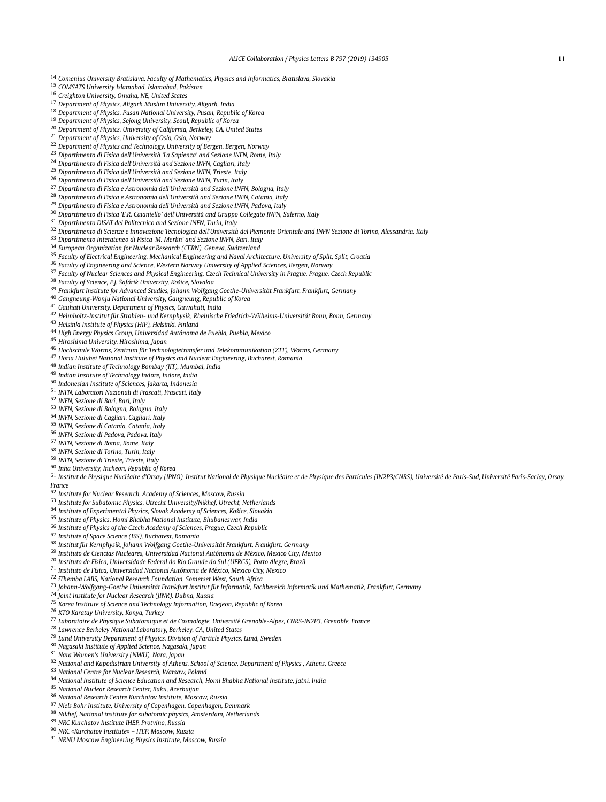<span id="page-10-0"></span>*Comenius University Bratislava, Faculty of Mathematics, Physics and Informatics, Bratislava, Slovakia*

- *COMSATS University Islamabad, Islamabad, Pakistan*
- *Creighton University, Omaha, NE, United States*
- *Department of Physics, Aligarh Muslim University, Aligarh, India*
- *Department of Physics, Pusan National University, Pusan, Republic of Korea*
- *Department of Physics, Sejong University, Seoul, Republic of Korea*
- *Department of Physics, University of California, Berkeley, CA, United States*
- *Department of Physics, University of Oslo, Oslo, Norway*
- *Department of Physics and Technology, University of Bergen, Bergen, Norway*
- *Dipartimento di Fisica dell'Università 'La Sapienza' and Sezione INFN, Rome, Italy*
- *Dipartimento di Fisica dell'Università and Sezione INFN, Cagliari, Italy*
- *Dipartimento di Fisica dell'Università and Sezione INFN, Trieste, Italy*
- *Dipartimento di Fisica dell'Università and Sezione INFN, Turin, Italy*
- *Dipartimento di Fisica e Astronomia dell'Università and Sezione INFN, Bologna, Italy*
- *Dipartimento di Fisica e Astronomia dell'Università and Sezione INFN, Catania, Italy*
- *Dipartimento di Fisica e Astronomia dell'Università and Sezione INFN, Padova, Italy*
- *Dipartimento di Fisica 'E.R. Caianiello' dell'Università and Gruppo Collegato INFN, Salerno, Italy*
- *Dipartimento DISAT del Politecnico and Sezione INFN, Turin, Italy*
- <sup>32</sup> Dipartimento di Scienze e Innovazione Tecnologica dell'Università del Piemonte Orientale and INFN Sezione di Torino, Alessandria, Italy
- *Dipartimento Interateneo di Fisica 'M. Merlin' and Sezione INFN, Bari, Italy*
- *European Organization for Nuclear Research (CERN), Geneva, Switzerland*
- *Faculty of Electrical Engineering, Mechanical Engineering and Naval Architecture, University of Split, Split, Croatia*
- *Faculty of Engineering and Science, Western Norway University of Applied Sciences, Bergen, Norway*
- *Faculty of Nuclear Sciences and Physical Engineering, Czech Technical University in Prague, Prague, Czech Republic*
- *Faculty of Science, P.J. Šafárik University, Košice, Slovakia*
- *Frankfurt Institute for Advanced Studies, Johann Wolfgang Goethe-Universität Frankfurt, Frankfurt, Germany*
- *Gangneung-Wonju National University, Gangneung, Republic of Korea*
- *Gauhati University, Department of Physics, Guwahati, India*
- *Helmholtz-Institut für Strahlen- und Kernphysik, Rheinische Friedrich-Wilhelms-Universität Bonn, Bonn, Germany*
- *Helsinki Institute of Physics (HIP), Helsinki, Finland*
- *High Energy Physics Group, Universidad Autónoma de Puebla, Puebla, Mexico*
- *Hiroshima University, Hiroshima, Japan*
- *Hochschule Worms, Zentrum für Technologietransfer und Telekommunikation (ZTT), Worms, Germany*
- *Horia Hulubei National Institute of Physics and Nuclear Engineering, Bucharest, Romania*
- *Indian Institute of Technology Bombay (IIT), Mumbai, India*
- *Indian Institute of Technology Indore, Indore, India*
- *Indonesian Institute of Sciences, Jakarta, Indonesia*
- *INFN, Laboratori Nazionali di Frascati, Frascati, Italy*
- *INFN, Sezione di Bari, Bari, Italy*
- *INFN, Sezione di Bologna, Bologna, Italy*
- *INFN, Sezione di Cagliari, Cagliari, Italy*
- *INFN, Sezione di Catania, Catania, Italy*
- *INFN, Sezione di Padova, Padova, Italy*
- *INFN, Sezione di Roma, Rome, Italy*
- *INFN, Sezione di Torino, Turin, Italy*
- *INFN, Sezione di Trieste, Trieste, Italy*
- *Inha University, Incheon, Republic of Korea*
- 61 Institut de Physique Nucléaire d'Orsay (IPNO), Institut National de Physique Nucléaire et de Physique des Particules (IN2P3/CNRS), Université de Paris-Sud, Université Paris-Saclay, Orsay, *France*
- *Institute for Nuclear Research, Academy of Sciences, Moscow, Russia*
- *Institute for Subatomic Physics, Utrecht University/Nikhef, Utrecht, Netherlands*
- *Institute of Experimental Physics, Slovak Academy of Sciences, Košice, Slovakia*
- *Institute of Physics, Homi Bhabha National Institute, Bhubaneswar, India*
- *Institute of Physics of the Czech Academy of Sciences, Prague, Czech Republic*
- *Institute of Space Science (ISS), Bucharest, Romania*
- 
- *Institut für Kernphysik, Johann Wolfgang Goethe-Universität Frankfurt, Frankfurt, Germany*
- 
- *Instituto de Física, Universidad Nacional Autónoma de México, Mexico City, Mexico*
- 
- *iThemba LABS, National Research Foundation, Somerset West, South Africa*
- *Johann-Wolfgang-Goethe Universität Frankfurt Institut für Informatik, Fachbereich Informatik und Mathematik, Frankfurt, Germany*
- *Joint Institute for Nuclear Research (JINR), Dubna, Russia*
- *Korea Institute of Science and Technology Information, Daejeon, Republic of Korea*
- *KTO Karatay University, Konya, Turkey*
- *Laboratoire de Physique Subatomique et de Cosmologie, Université Grenoble-Alpes, CNRS-IN2P3, Grenoble, France*
- *Lawrence Berkeley National Laboratory, Berkeley, CA, United States*
- *Lund University Department of Physics, Division of Particle Physics, Lund, Sweden*
- *Nagasaki Institute of Applied Science, Nagasaki, Japan*
- *Nara Women's University (NWU), Nara, Japan*
- *National and Kapodistrian University of Athens, School of Science, Department of Physics , Athens, Greece*
- *National Centre for Nuclear Research, Warsaw, Poland*
- *National Institute of Science Education and Research, Homi Bhabha National Institute, Jatni, India*
- *National Nuclear Research Center, Baku, Azerbaijan*
- *National Research Centre Kurchatov Institute, Moscow, Russia*
- *Niels Bohr Institute, University of Copenhagen, Copenhagen, Denmark*
- *Nikhef, National institute for subatomic physics, Amsterdam, Netherlands*
- *NRC Kurchatov Institute IHEP, Protvino, Russia*
- *NRC «Kurchatov Institute» – ITEP, Moscow, Russia*
- *NRNU Moscow Engineering Physics Institute, Moscow, Russia*

 *Instituto de Ciencias Nucleares, Universidad Nacional Autónoma de México, Mexico City, Mexico Instituto de Física, Universidade Federal do Rio Grande do Sul (UFRGS), Porto Alegre, Brazil*